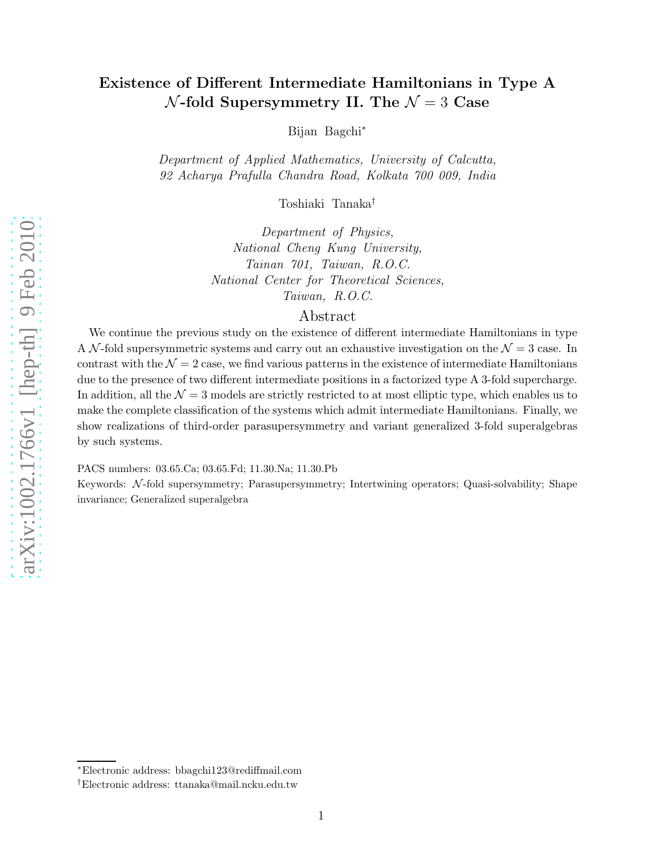# Existence of Different Intermediate Hamiltonians in Type A  $\mathcal{N}\text{-fold Supersymmetry II. The }\mathcal{N}=3$  Case

Bijan Bagchi ∗

Department of Applied Mathematics, University of Calcutta , 92 Acharya Prafulla Chandra Road, Kolkata 700 009, India

Toshiaki Tanaka †

Department of Physics, National Cheng Kung University, Tainan 701, Taiwan, R.O.C. National Center for Theoretical Sciences, Taiwan, R.O.C.

# Abstract

We continue the previous study on the existence of different intermediate Hamiltonians in type A N-fold supersymmetric systems and carry out an exhaustive investigation on the  $\mathcal{N}=3$  case. In contrast with the  $\mathcal{N}=2$  case, we find various patterns in the existence of intermediate Hamiltonians due to the presence of two different intermediate positions in a factorized type A 3-fold supercharge. In addition, all the  $\mathcal{N}=3$  models are strictly restricted to at most elliptic type, which enables us to make the complete classification of the systems which admit intermediate Hamiltonians. Finally, we show realizations of third-order parasupersymmetry and variant generalized 3-fold superalgebras by such systems.

PACS numbers: 03.65.Ca; 03.65.Fd; 11.30.Na; 11.30.Pb

Keywords: N-fold supersymmetry; Parasupersymmetry; Intertwining operators; Quasi-solvability; Shape invariance; Generalized superalgebra

<sup>∗</sup>Electronic address: bbagchi123@rediffmail.com

<sup>†</sup>Electronic address: ttanaka@mail.ncku.edu.tw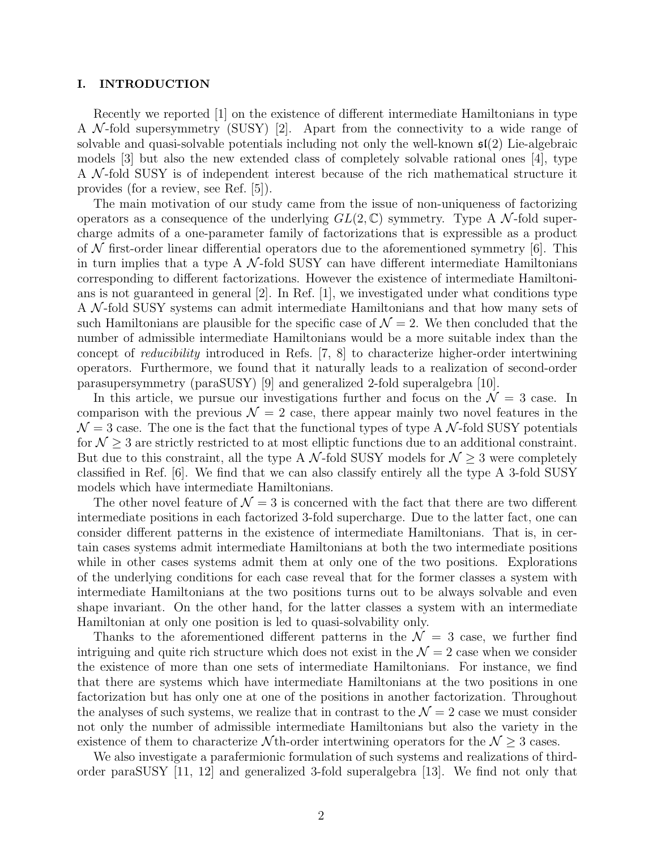# I. INTRODUCTION

Recently we reported [1] on the existence of different intermediate Hamiltonians in type A  $\mathcal{N}$ -fold supersymmetry (SUSY) [2]. Apart from the connectivity to a wide range of solvable and quasi-solvable potentials including not only the well-known  $\mathfrak{sl}(2)$  Lie-algebraic models [3] but also the new extended class of completely solvable rational ones [4], type A N -fold SUSY is of independent interest because of the rich mathematical structure it provides (for a review, see Ref. [5]).

The main motivation of our study came from the issue of non-uniqueness of factorizing operators as a consequence of the underlying  $GL(2,\mathbb{C})$  symmetry. Type A N-fold supercharge admits of a one-parameter family of factorizations that is expressible as a product of  $\mathcal N$  first-order linear differential operators due to the aforementioned symmetry [6]. This in turn implies that a type A  $\mathcal{N}$ -fold SUSY can have different intermediate Hamiltonians corresponding to different factorizations. However the existence of intermediate Hamiltonians is not guaranteed in general [2]. In Ref. [1], we investigated under what conditions type A N -fold SUSY systems can admit intermediate Hamiltonians and that how many sets of such Hamiltonians are plausible for the specific case of  $\mathcal{N}=2$ . We then concluded that the number of admissible intermediate Hamiltonians would be a more suitable index than the concept of reducibility introduced in Refs. [7, 8] to characterize higher-order intertwining operators. Furthermore, we found that it naturally leads to a realization of second-order parasupersymmetry (paraSUSY) [9] and generalized 2-fold superalgebra [10].

In this article, we pursue our investigations further and focus on the  $\mathcal{N} = 3$  case. In comparison with the previous  $\mathcal{N} = 2$  case, there appear mainly two novel features in the  $\mathcal{N}=3$  case. The one is the fact that the functional types of type A  $\mathcal{N}$ -fold SUSY potentials for  $\mathcal{N} \geq 3$  are strictly restricted to at most elliptic functions due to an additional constraint. But due to this constraint, all the type A N-fold SUSY models for  $\mathcal{N} \geq 3$  were completely classified in Ref. [6]. We find that we can also classify entirely all the type A 3-fold SUSY models which have intermediate Hamiltonians.

The other novel feature of  $\mathcal{N} = 3$  is concerned with the fact that there are two different intermediate positions in each factorized 3-fold supercharge. Due to the latter fact, one can consider different patterns in the existence of intermediate Hamiltonians. That is, in certain cases systems admit intermediate Hamiltonians at both the two intermediate positions while in other cases systems admit them at only one of the two positions. Explorations of the underlying conditions for each case reveal that for the former classes a system with intermediate Hamiltonians at the two positions turns out to be always solvable and even shape invariant. On the other hand, for the latter classes a system with an intermediate Hamiltonian at only one position is led to quasi-solvability only.

Thanks to the aforementioned different patterns in the  $\mathcal{N} = 3$  case, we further find intriguing and quite rich structure which does not exist in the  $\mathcal{N}=2$  case when we consider the existence of more than one sets of intermediate Hamiltonians. For instance, we find that there are systems which have intermediate Hamiltonians at the two positions in one factorization but has only one at one of the positions in another factorization. Throughout the analyses of such systems, we realize that in contrast to the  $\mathcal{N}=2$  case we must consider not only the number of admissible intermediate Hamiltonians but also the variety in the existence of them to characterize  $\mathcal N$ th-order intertwining operators for the  $\mathcal N \geq 3$  cases.

We also investigate a parafermionic formulation of such systems and realizations of thirdorder paraSUSY [11, 12] and generalized 3-fold superalgebra [13]. We find not only that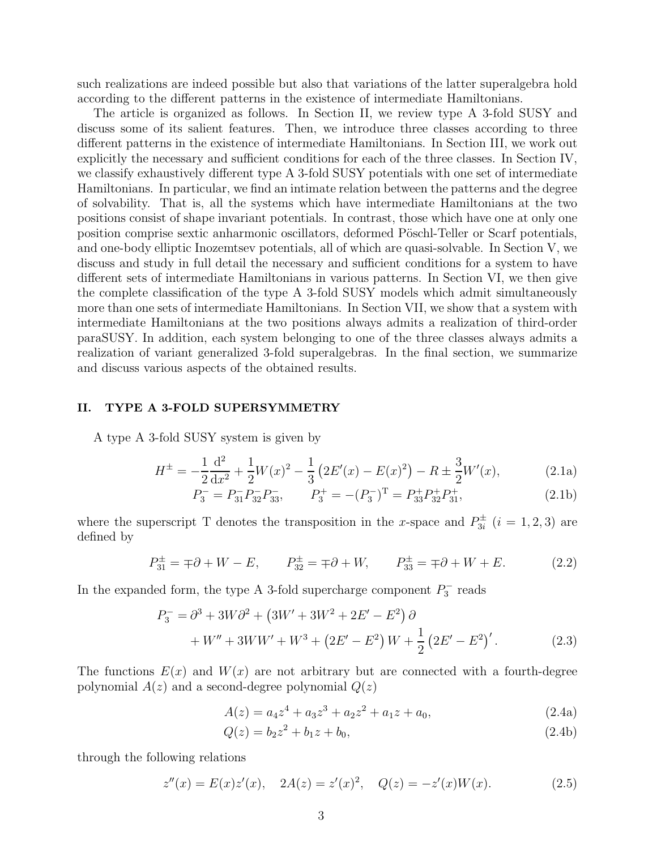such realizations are indeed possible but also that variations of the latter superalgebra hold according to the different patterns in the existence of intermediate Hamiltonians.

The article is organized as follows. In Section II, we review type A 3-fold SUSY and discuss some of its salient features. Then, we introduce three classes according to three different patterns in the existence of intermediate Hamiltonians. In Section III, we work out explicitly the necessary and sufficient conditions for each of the three classes. In Section IV, we classify exhaustively different type A 3-fold SUSY potentials with one set of intermediate Hamiltonians. In particular, we find an intimate relation between the patterns and the degree of solvability. That is, all the systems which have intermediate Hamiltonians at the two positions consist of shape invariant potentials. In contrast, those which have one at only one position comprise sextic anharmonic oscillators, deformed Pöschl-Teller or Scarf potentials, and one-body elliptic Inozemtsev potentials, all of which are quasi-solvable. In Section V, we discuss and study in full detail the necessary and sufficient conditions for a system to have different sets of intermediate Hamiltonians in various patterns. In Section VI, we then give the complete classification of the type A 3-fold SUSY models which admit simultaneously more than one sets of intermediate Hamiltonians. In Section VII, we show that a system with intermediate Hamiltonians at the two positions always admits a realization of third-order paraSUSY. In addition, each system belonging to one of the three classes always admits a realization of variant generalized 3-fold superalgebras. In the final section, we summarize and discuss various aspects of the obtained results.

# II. TYPE A 3-FOLD SUPERSYMMETRY

A type A 3-fold SUSY system is given by

$$
H^{\pm} = -\frac{1}{2}\frac{d^2}{dx^2} + \frac{1}{2}W(x)^2 - \frac{1}{3}\left(2E'(x) - E(x)^2\right) - R \pm \frac{3}{2}W'(x),\tag{2.1a}
$$

$$
P_3^- = P_{31}^- P_{32}^- P_{33}^-, \qquad P_3^+ = -(P_3^-)^{\mathrm{T}} = P_{33}^+ P_{32}^+ P_{31}^+, \tag{2.1b}
$$

where the superscript T denotes the transposition in the x-space and  $P_{3i}^{\pm}$   $(i = 1, 2, 3)$  are defined by

$$
P_{31}^{\pm} = \pm \partial + W - E, \qquad P_{32}^{\pm} = \pm \partial + W, \qquad P_{33}^{\pm} = \pm \partial + W + E. \tag{2.2}
$$

In the expanded form, the type A 3-fold supercharge component  $P_3^$  $s_3$ <sup>-</sup> reads

$$
P_3^- = \partial^3 + 3W\partial^2 + (3W' + 3W^2 + 2E' - E^2)\partial
$$
  
+ W'' + 3WW' + W<sup>3</sup> + (2E' - E<sup>2</sup>) W +  $\frac{1}{2}$  (2E' - E<sup>2</sup>)'. (2.3)

The functions  $E(x)$  and  $W(x)$  are not arbitrary but are connected with a fourth-degree polynomial  $A(z)$  and a second-degree polynomial  $Q(z)$ 

$$
A(z) = a_4 z^4 + a_3 z^3 + a_2 z^2 + a_1 z + a_0,
$$
\n(2.4a)

$$
Q(z) = b_2 z^2 + b_1 z + b_0,
$$
\n(2.4b)

through the following relations

$$
z''(x) = E(x)z'(x), \quad 2A(z) = z'(x)^2, \quad Q(z) = -z'(x)W(x).
$$
 (2.5)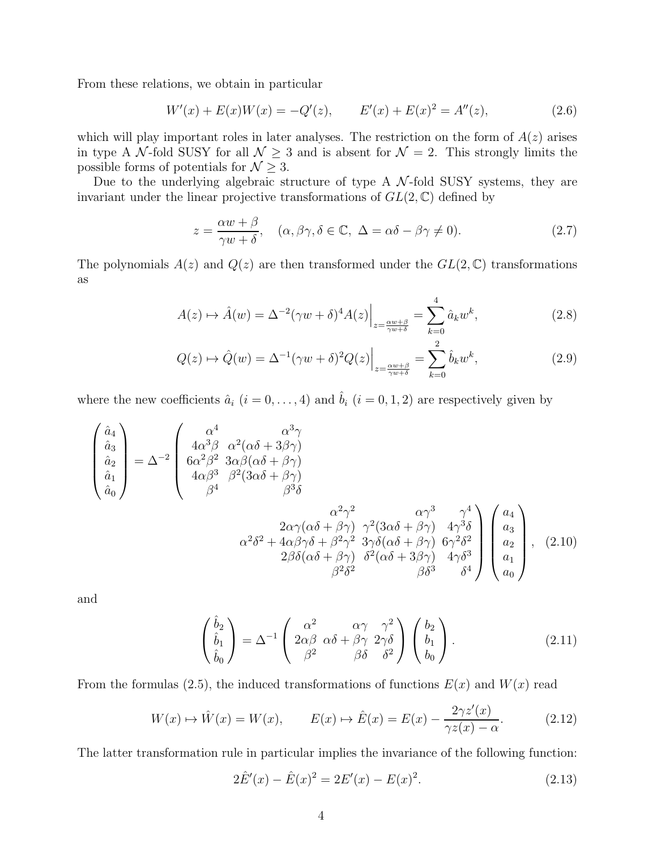From these relations, we obtain in particular

$$
W'(x) + E(x)W(x) = -Q'(z), \qquad E'(x) + E(x)^2 = A''(z), \tag{2.6}
$$

which will play important roles in later analyses. The restriction on the form of  $A(z)$  arises in type A N-fold SUSY for all  $\mathcal{N} \geq 3$  and is absent for  $\mathcal{N} = 2$ . This strongly limits the possible forms of potentials for  $\mathcal{N} \geq 3$ .

Due to the underlying algebraic structure of type A  $\mathcal{N}$ -fold SUSY systems, they are invariant under the linear projective transformations of  $GL(2,\mathbb{C})$  defined by

$$
z = \frac{\alpha w + \beta}{\gamma w + \delta}, \quad (\alpha, \beta\gamma, \delta \in \mathbb{C}, \Delta = \alpha\delta - \beta\gamma \neq 0). \tag{2.7}
$$

The polynomials  $A(z)$  and  $Q(z)$  are then transformed under the  $GL(2,\mathbb{C})$  transformations as

$$
A(z) \mapsto \hat{A}(w) = \Delta^{-2}(\gamma w + \delta)^4 A(z) \Big|_{z = \frac{\alpha w + \beta}{\gamma w + \delta}} = \sum_{k=0}^{4} \hat{a}_k w^k,
$$
\n(2.8)

$$
Q(z) \mapsto \hat{Q}(w) = \Delta^{-1} (\gamma w + \delta)^2 Q(z) \Big|_{z = \frac{\alpha w + \beta}{\gamma w + \delta}} = \sum_{k=0}^{2} \hat{b}_k w^k,
$$
 (2.9)

where the new coefficients  $\hat{a}_i$   $(i = 0, \ldots, 4)$  and  $\hat{b}_i$   $(i = 0, 1, 2)$  are respectively given by

$$
\begin{pmatrix}\n\hat{a}_4 \\
\hat{a}_3 \\
\hat{a}_2 \\
\hat{a}_0\n\end{pmatrix} = \Delta^{-2} \begin{pmatrix}\n\alpha^4 & \alpha^3 \gamma \\
4\alpha^3 \beta & \alpha^2(\alpha \delta + 3\beta \gamma) \\
6\alpha^2 \beta^2 & 3\alpha \beta(\alpha \delta + \beta \gamma) \\
4\alpha \beta^3 & \beta^2(3\alpha \delta + \beta \gamma) \\
\beta^4 & \beta^3 \delta\n\end{pmatrix}
$$
\n
$$
\alpha^2 \gamma^2 \alpha \gamma^3 \gamma^4
$$
\n
$$
\alpha^2 \gamma^2 \alpha \gamma^3 \gamma^4
$$
\n
$$
\alpha^2 \delta^2 + 4\alpha \beta \gamma \delta + \beta^2 \gamma^2 & 3\gamma \delta(\alpha \delta + \beta \gamma) & 4\gamma^3 \delta
$$
\n
$$
\alpha^2 \delta^2 + 4\alpha \beta \gamma \delta + \beta^2 \gamma^2 & 3\gamma \delta(\alpha \delta + \beta \gamma) & 6\gamma^2 \delta^2
$$
\n
$$
2\beta \delta(\alpha \delta + \beta \gamma) & \delta^2(\alpha \delta + 3\beta \gamma) & 4\gamma \delta^3
$$
\n
$$
\beta^2 \delta^2 \beta^3 \beta^4
$$
\n(2.10)

and

$$
\begin{pmatrix}\n\hat{b}_2 \\
\hat{b}_1 \\
\hat{b}_0\n\end{pmatrix} = \Delta^{-1} \begin{pmatrix}\n\alpha^2 & \alpha\gamma & \gamma^2 \\
2\alpha\beta & \alpha\delta + \beta\gamma & 2\gamma\delta \\
\beta^2 & \beta\delta & \delta^2\n\end{pmatrix} \begin{pmatrix}\nb_2 \\
b_1 \\
b_0\n\end{pmatrix}.
$$
\n(2.11)

From the formulas (2.5), the induced transformations of functions  $E(x)$  and  $W(x)$  read

$$
W(x) \mapsto \hat{W}(x) = W(x), \qquad E(x) \mapsto \hat{E}(x) = E(x) - \frac{2\gamma z'(x)}{\gamma z(x) - \alpha}.
$$
 (2.12)

The latter transformation rule in particular implies the invariance of the following function:

$$
2\hat{E}'(x) - \hat{E}(x)^2 = 2E'(x) - E(x)^2.
$$
\n(2.13)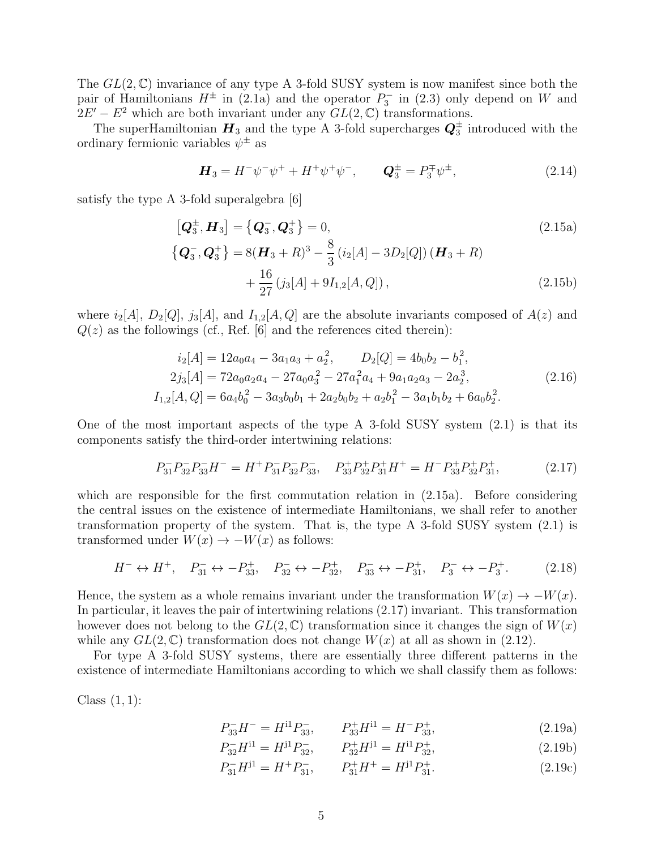The  $GL(2,\mathbb{C})$  invariance of any type A 3-fold SUSY system is now manifest since both the pair of Hamiltonians  $H^{\pm}$  in (2.1a) and the operator  $P_3^$  $b_3^-$  in (2.3) only depend on W and  $2E' - E^2$  which are both invariant under any  $GL(2, \mathbb{C})$  transformations.

The superHamiltonian  $H_3$  and the type A 3-fold supercharges  $Q_3^{\pm}$  introduced with the ordinary fermionic variables  $\psi^{\pm}$  as

$$
\boldsymbol{H}_3 = H^- \psi^- \psi^+ + H^+ \psi^+ \psi^-, \qquad \boldsymbol{Q}_3^{\pm} = P_3^{\mp} \psi^{\pm}, \tag{2.14}
$$

satisfy the type A 3-fold superalgebra [6]

$$
\begin{aligned}\n\left[\mathbf{Q}_3^{\pm}, \mathbf{H}_3\right] &= \left\{\mathbf{Q}_3^{\mp}, \mathbf{Q}_3^{\pm}\right\} = 0, & (2.15a) \\
\left\{\mathbf{Q}_3^{\mp}, \mathbf{Q}_3^{\pm}\right\} &= 8(\mathbf{H}_3 + R)^3 - \frac{8}{3}\left(i_2[A] - 3D_2[Q]\right)(\mathbf{H}_3 + R) \\
&\quad + \frac{16}{27}\left(j_3[A] + 9I_{1,2}[A, Q]\right), & \tag{2.15b}\n\end{aligned}
$$

where  $i_2[A], D_2[Q], j_3[A],$  and  $I_{1,2}[A, Q]$  are the absolute invariants composed of  $A(z)$  and  $Q(z)$  as the followings (cf., Ref. [6] and the references cited therein):

$$
i_2[A] = 12a_0a_4 - 3a_1a_3 + a_2^2, \t D_2[Q] = 4b_0b_2 - b_1^2,
$$
  
\n
$$
2j_3[A] = 72a_0a_2a_4 - 27a_0a_3^2 - 27a_1^2a_4 + 9a_1a_2a_3 - 2a_2^3,
$$
  
\n
$$
I_{1,2}[A,Q] = 6a_4b_0^2 - 3a_3b_0b_1 + 2a_2b_0b_2 + a_2b_1^2 - 3a_1b_1b_2 + 6a_0b_2^2.
$$
\n(2.16)

One of the most important aspects of the type A 3-fold SUSY system (2.1) is that its components satisfy the third-order intertwining relations:

$$
P_{31}^- P_{32}^- P_{33}^- H^- = H^+ P_{31}^- P_{32}^- P_{33}^-, \quad P_{33}^+ P_{32}^+ P_{31}^+ H^+ = H^- P_{33}^+ P_{32}^+ P_{31}^+, \tag{2.17}
$$

which are responsible for the first commutation relation in  $(2.15a)$ . Before considering the central issues on the existence of intermediate Hamiltonians, we shall refer to another transformation property of the system. That is, the type A 3-fold SUSY system (2.1) is transformed under  $W(x) \to -W(x)$  as follows:

$$
H^- \leftrightarrow H^+, \quad P_{31}^- \leftrightarrow -P_{33}^+, \quad P_{32}^- \leftrightarrow -P_{32}^+, \quad P_{33}^- \leftrightarrow -P_{31}^+, \quad P_3^- \leftrightarrow -P_3^+. \tag{2.18}
$$

Hence, the system as a whole remains invariant under the transformation  $W(x) \to -W(x)$ . In particular, it leaves the pair of intertwining relations (2.17) invariant. This transformation however does not belong to the  $GL(2,\mathbb{C})$  transformation since it changes the sign of  $W(x)$ while any  $GL(2,\mathbb{C})$  transformation does not change  $W(x)$  at all as shown in (2.12).

For type A 3-fold SUSY systems, there are essentially three different patterns in the existence of intermediate Hamiltonians according to which we shall classify them as follows:

Class  $(1, 1)$ :

$$
P_{33}^-H^- = H^{11}P_{33}^- , \qquad P_{33}^+H^{11} = H^-P_{33}^+ , \tag{2.19a}
$$

$$
P_{32}^-H^{11} = H^{j1}P_{32}^-, \qquad P_{32}^+H^{j1} = H^{11}P_{32}^+, \tag{2.19b}
$$

$$
P_{31}^-H^{j1} = H^+P_{31}^-,\qquad P_{31}^+H^+ = H^{j1}P_{31}^+.\tag{2.19c}
$$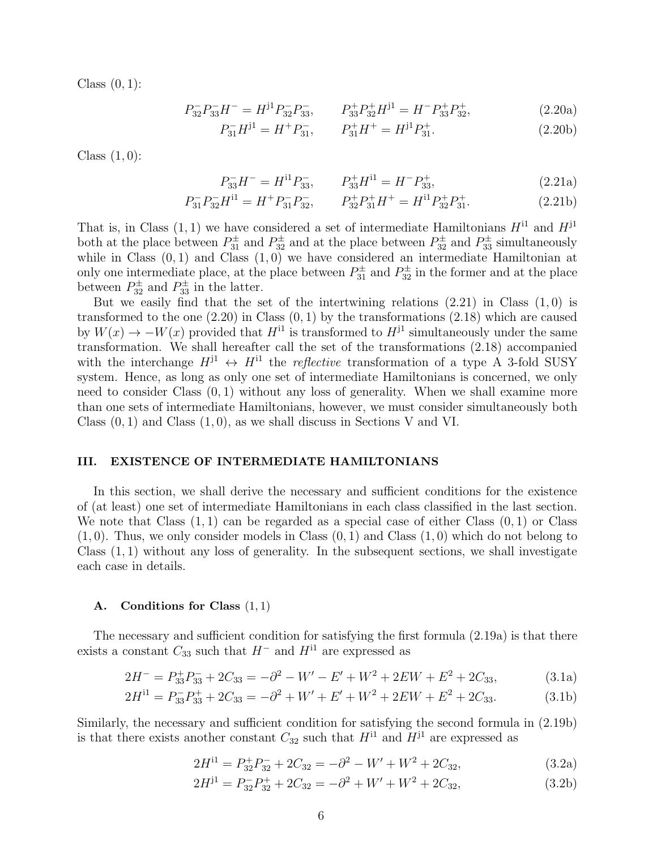Class  $(0, 1)$ :

$$
P_{32}^- P_{33}^- H^- = H^{j1} P_{32}^- P_{33}^- , \qquad P_{33}^+ P_{32}^+ H^{j1} = H^- P_{33}^+ P_{32}^+ , \tag{2.20a}
$$

$$
P_{31}^-H^{j1} = H^+P_{31}^-,\qquad P_{31}^+H^+ = H^{j1}P_{31}^+.\tag{2.20b}
$$

Class  $(1, 0)$ :

$$
P_{33}^-H^- = H^{11}P_{33}^-, \qquad P_{33}^+H^{11} = H^-P_{33}^+, \tag{2.21a}
$$

$$
P_{31}^- P_{32}^- H^{11} = H^+ P_{31}^- P_{32}^-, \qquad P_{32}^+ P_{31}^+ H^+ = H^{11} P_{32}^+ P_{31}^+.
$$
 (2.21b)

That is, in Class  $(1, 1)$  we have considered a set of intermediate Hamiltonians  $H^{11}$  and  $H^{j1}$ both at the place between  $P_{31}^{\pm}$  and  $P_{32}^{\pm}$  and at the place between  $P_{32}^{\pm}$  and  $P_{33}^{\pm}$  simultaneously while in Class  $(0, 1)$  and Class  $(1, 0)$  we have considered an intermediate Hamiltonian at only one intermediate place, at the place between  $P_{31}^{\pm}$  and  $P_{32}^{\pm}$  in the former and at the place between  $P_{32}^{\pm}$  and  $P_{33}^{\pm}$  in the latter.

But we easily find that the set of the intertwining relations  $(2.21)$  in Class  $(1, 0)$  is transformed to the one  $(2.20)$  in Class  $(0, 1)$  by the transformations  $(2.18)$  which are caused by  $W(x) \to -W(x)$  provided that  $H^{11}$  is transformed to  $H^{11}$  simultaneously under the same transformation. We shall hereafter call the set of the transformations (2.18) accompanied with the interchange  $H^{j1} \leftrightarrow H^{i1}$  the *reflective* transformation of a type A 3-fold SUSY system. Hence, as long as only one set of intermediate Hamiltonians is concerned, we only need to consider Class  $(0, 1)$  without any loss of generality. When we shall examine more than one sets of intermediate Hamiltonians, however, we must consider simultaneously both Class  $(0, 1)$  and Class  $(1, 0)$ , as we shall discuss in Sections V and VI.

# III. EXISTENCE OF INTERMEDIATE HAMILTONIANS

In this section, we shall derive the necessary and sufficient conditions for the existence of (at least) one set of intermediate Hamiltonians in each class classified in the last section. We note that Class  $(1, 1)$  can be regarded as a special case of either Class  $(0, 1)$  or Class  $(1,0)$ . Thus, we only consider models in Class  $(0,1)$  and Class  $(1,0)$  which do not belong to Class  $(1, 1)$  without any loss of generality. In the subsequent sections, we shall investigate each case in details.

## A. Conditions for Class  $(1, 1)$

The necessary and sufficient condition for satisfying the first formula (2.19a) is that there exists a constant  $C_{33}$  such that  $H^-$  and  $H^{11}$  are expressed as

$$
2H^- = P_{33}^+ P_{33}^- + 2C_{33} = -\partial^2 - W' - E' + W^2 + 2EW + E^2 + 2C_{33},\tag{3.1a}
$$

$$
2H^{11} = P_{33} - P_{33} + 2C_{33} = -\partial^2 + W' + E' + W^2 + 2EW + E^2 + 2C_{33}.
$$
 (3.1b)

Similarly, the necessary and sufficient condition for satisfying the second formula in (2.19b) is that there exists another constant  $C_{32}$  such that  $H^{11}$  and  $H^{11}$  are expressed as

$$
2H^{11} = P_{32}^+ P_{32}^- + 2C_{32} = -\partial^2 - W' + W^2 + 2C_{32},\tag{3.2a}
$$

$$
2H^{j1} = P_{32}^- P_{32}^+ + 2C_{32} = -\partial^2 + W' + W^2 + 2C_{32},\tag{3.2b}
$$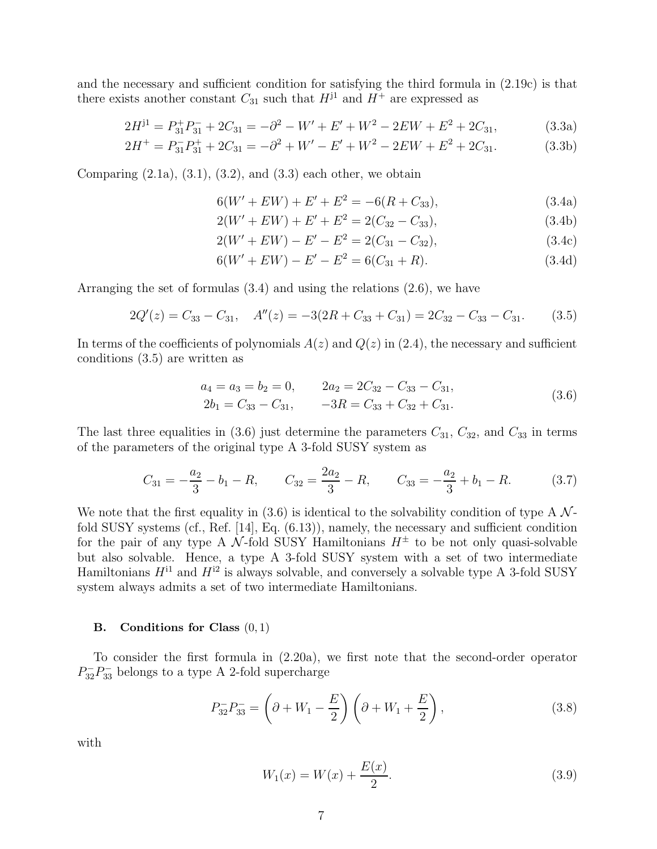and the necessary and sufficient condition for satisfying the third formula in (2.19c) is that there exists another constant  $C_{31}$  such that  $H^{j1}$  and  $H^{+}$  are expressed as

$$
2H^{j1} = P_{31}^+ P_{31}^- + 2C_{31} = -\partial^2 - W' + E' + W^2 - 2EW + E^2 + 2C_{31},\tag{3.3a}
$$

$$
2H^{+} = P_{31}^{-}P_{31}^{+} + 2C_{31} = -\partial^{2} + W' - E' + W^{2} - 2EW + E^{2} + 2C_{31}.
$$
 (3.3b)

Comparing  $(2.1a)$ ,  $(3.1)$ ,  $(3.2)$ , and  $(3.3)$  each other, we obtain

$$
6(W' + EW) + E' + E^2 = -6(R + C_{33}),
$$
\n(3.4a)

$$
2(W' + EW) + E' + E^2 = 2(C_{32} - C_{33}),
$$
\n(3.4b)

$$
2(W' + EW) - E' - E^2 = 2(C_{31} - C_{32}),
$$
\n(3.4c)

$$
6(W' + EW) - E' - E^2 = 6(C_{31} + R). \tag{3.4d}
$$

Arranging the set of formulas (3.4) and using the relations (2.6), we have

$$
2Q'(z) = C_{33} - C_{31}, \quad A''(z) = -3(2R + C_{33} + C_{31}) = 2C_{32} - C_{33} - C_{31}. \tag{3.5}
$$

In terms of the coefficients of polynomials  $A(z)$  and  $Q(z)$  in (2.4), the necessary and sufficient conditions (3.5) are written as

$$
a_4 = a_3 = b_2 = 0, \t 2a_2 = 2C_{32} - C_{33} - C_{31}, 2b_1 = C_{33} - C_{31}, \t -3R = C_{33} + C_{32} + C_{31}.
$$
\t(3.6)

The last three equalities in (3.6) just determine the parameters  $C_{31}$ ,  $C_{32}$ , and  $C_{33}$  in terms of the parameters of the original type A 3-fold SUSY system as

$$
C_{31} = -\frac{a_2}{3} - b_1 - R, \qquad C_{32} = \frac{2a_2}{3} - R, \qquad C_{33} = -\frac{a_2}{3} + b_1 - R. \tag{3.7}
$$

We note that the first equality in (3.6) is identical to the solvability condition of type A  $\mathcal{N}$ fold SUSY systems (cf., Ref. [14], Eq. (6.13)), namely, the necessary and sufficient condition for the pair of any type A  $\mathcal N$ -fold SUSY Hamiltonians  $H^{\pm}$  to be not only quasi-solvable but also solvable. Hence, a type A 3-fold SUSY system with a set of two intermediate Hamiltonians  $H^{i1}$  and  $H^{i2}$  is always solvable, and conversely a solvable type A 3-fold SUSY system always admits a set of two intermediate Hamiltonians.

## **B.** Conditions for Class  $(0, 1)$

To consider the first formula in (2.20a), we first note that the second-order operator  $P_{32}^-P_{33}^-$  belongs to a type A 2-fold supercharge

$$
P_{32}^-P_{33}^- = \left(\partial + W_1 - \frac{E}{2}\right)\left(\partial + W_1 + \frac{E}{2}\right),\tag{3.8}
$$

with

$$
W_1(x) = W(x) + \frac{E(x)}{2}.
$$
\n(3.9)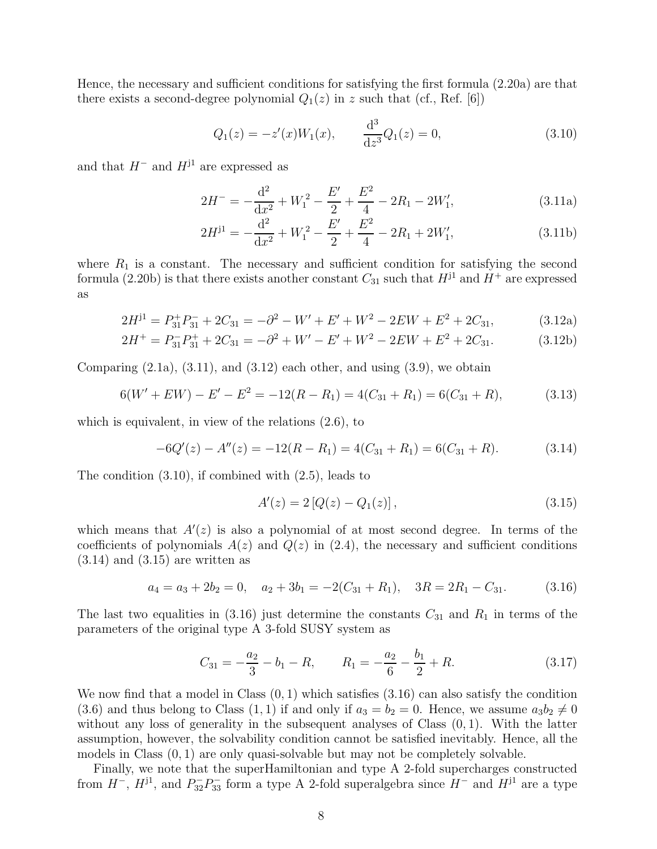Hence, the necessary and sufficient conditions for satisfying the first formula (2.20a) are that there exists a second-degree polynomial  $Q_1(z)$  in z such that (cf., Ref. [6])

$$
Q_1(z) = -z'(x)W_1(x), \qquad \frac{\mathrm{d}^3}{\mathrm{d}z^3}Q_1(z) = 0,\tag{3.10}
$$

and that  $H^-$  and  $H^{j1}$  are expressed as

$$
2H^{-} = -\frac{d^{2}}{dx^{2}} + W_{1}^{2} - \frac{E'}{2} + \frac{E^{2}}{4} - 2R_{1} - 2W_{1}', \qquad (3.11a)
$$

$$
2H^{j1} = -\frac{d^2}{dx^2} + W_1^2 - \frac{E'}{2} + \frac{E^2}{4} - 2R_1 + 2W_1',\tag{3.11b}
$$

where  $R_1$  is a constant. The necessary and sufficient condition for satisfying the second formula (2.20b) is that there exists another constant  $C_{31}$  such that  $H^{j1}$  and  $H^{+}$  are expressed as

$$
2H^{j1} = P_{31}^+ P_{31}^- + 2C_{31} = -\partial^2 - W' + E' + W^2 - 2EW + E^2 + 2C_{31},\tag{3.12a}
$$

$$
2H^{+} = P_{31}^{-}P_{31}^{+} + 2C_{31} = -\partial^{2} + W' - E' + W^{2} - 2EW + E^{2} + 2C_{31}.
$$
 (3.12b)

Comparing  $(2.1a)$ ,  $(3.11)$ , and  $(3.12)$  each other, and using  $(3.9)$ , we obtain

$$
6(W' + EW) - E' - E^2 = -12(R - R_1) = 4(C_{31} + R_1) = 6(C_{31} + R), \tag{3.13}
$$

which is equivalent, in view of the relations (2.6), to

$$
-6Q'(z) - A''(z) = -12(R - R_1) = 4(C_{31} + R_1) = 6(C_{31} + R). \tag{3.14}
$$

The condition (3.10), if combined with (2.5), leads to

$$
A'(z) = 2 [Q(z) - Q_1(z)], \qquad (3.15)
$$

which means that  $A'(z)$  is also a polynomial of at most second degree. In terms of the coefficients of polynomials  $A(z)$  and  $Q(z)$  in (2.4), the necessary and sufficient conditions  $(3.14)$  and  $(3.15)$  are written as

$$
a_4 = a_3 + 2b_2 = 0, \quad a_2 + 3b_1 = -2(C_{31} + R_1), \quad 3R = 2R_1 - C_{31}.
$$
 (3.16)

The last two equalities in (3.16) just determine the constants  $C_{31}$  and  $R_1$  in terms of the parameters of the original type A 3-fold SUSY system as

$$
C_{31} = -\frac{a_2}{3} - b_1 - R, \qquad R_1 = -\frac{a_2}{6} - \frac{b_1}{2} + R. \tag{3.17}
$$

We now find that a model in Class  $(0, 1)$  which satisfies  $(3.16)$  can also satisfy the condition (3.6) and thus belong to Class (1, 1) if and only if  $a_3 = b_2 = 0$ . Hence, we assume  $a_3b_2 \neq 0$ without any loss of generality in the subsequent analyses of Class  $(0, 1)$ . With the latter assumption, however, the solvability condition cannot be satisfied inevitably. Hence, all the models in Class  $(0, 1)$  are only quasi-solvable but may not be completely solvable.

Finally, we note that the superHamiltonian and type A 2-fold supercharges constructed from  $H^-$ ,  $H^{j1}$ , and  $P_{32}^-P_{33}^-$  form a type A 2-fold superalgebra since  $H^-$  and  $H^{j1}$  are a type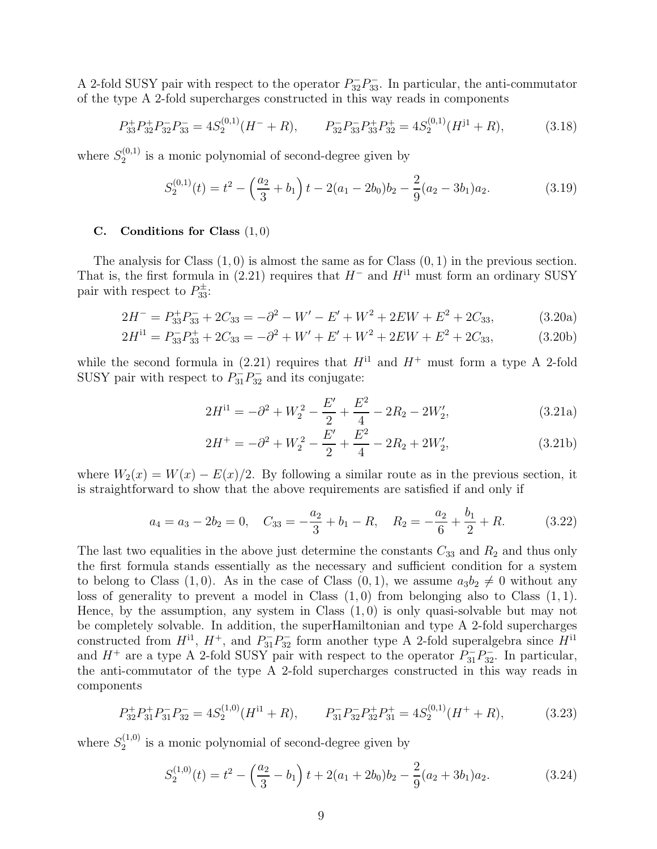A 2-fold SUSY pair with respect to the operator  $P_{32}^-P_{33}^-$ . In particular, the anti-commutator of the type A 2-fold supercharges constructed in this way reads in components

$$
P_{33}^+ P_{32}^+ P_{32}^- P_{33}^- = 4S_2^{(0,1)}(H^- + R), \qquad P_{32}^- P_{33}^- P_{33}^+ P_{32}^+ = 4S_2^{(0,1)}(H^{j1} + R), \tag{3.18}
$$

where  $S_2^{(0,1)}$  $2^{(0,1)}$  is a monic polynomial of second-degree given by

$$
S_2^{(0,1)}(t) = t^2 - \left(\frac{a_2}{3} + b_1\right)t - 2(a_1 - 2b_0)b_2 - \frac{2}{9}(a_2 - 3b_1)a_2.
$$
 (3.19)

## C. Conditions for Class  $(1,0)$

The analysis for Class  $(1,0)$  is almost the same as for Class  $(0,1)$  in the previous section. That is, the first formula in (2.21) requires that  $H^-$  and  $H^{11}$  must form an ordinary SUSY pair with respect to  $P_{33}^{\pm}$ :

$$
2H^- = P_{33}^+ P_{33}^- + 2C_{33} = -\partial^2 - W' - E' + W^2 + 2EW + E^2 + 2C_{33},
$$
(3.20a)

$$
2H^{11} = P_{33}^-P_{33}^+ + 2C_{33} = -\partial^2 + W' + E' + W^2 + 2EW + E^2 + 2C_{33},
$$
 (3.20b)

while the second formula in (2.21) requires that  $H<sup>11</sup>$  and  $H<sup>+</sup>$  must form a type A 2-fold SUSY pair with respect to  $P_{31}^-P_{32}^-$  and its conjugate:

$$
2H^{11} = -\partial^2 + W_2^2 - \frac{E'}{2} + \frac{E^2}{4} - 2R_2 - 2W_2',\tag{3.21a}
$$

$$
2H^{+} = -\partial^{2} + W_{2}^{2} - \frac{E'}{2} + \frac{E^{2}}{4} - 2R_{2} + 2W_{2}', \qquad (3.21b)
$$

where  $W_2(x) = W(x) - E(x)/2$ . By following a similar route as in the previous section, it is straightforward to show that the above requirements are satisfied if and only if

$$
a_4 = a_3 - 2b_2 = 0, \quad C_{33} = -\frac{a_2}{3} + b_1 - R, \quad R_2 = -\frac{a_2}{6} + \frac{b_1}{2} + R. \tag{3.22}
$$

The last two equalities in the above just determine the constants  $C_{33}$  and  $R_2$  and thus only the first formula stands essentially as the necessary and sufficient condition for a system to belong to Class  $(1, 0)$ . As in the case of Class  $(0, 1)$ , we assume  $a_3b_2 \neq 0$  without any loss of generality to prevent a model in Class  $(1,0)$  from belonging also to Class  $(1,1)$ . Hence, by the assumption, any system in Class  $(1,0)$  is only quasi-solvable but may not be completely solvable. In addition, the superHamiltonian and type A 2-fold supercharges constructed from  $H^{11}$ ,  $H^+$ , and  $P_{31}^-P_{32}^-$  form another type A 2-fold superalgebra since  $H^{11}$ and  $H^+$  are a type A 2-fold SUSY pair with respect to the operator  $P_{31}^-P_{32}^-$ . In particular, the anti-commutator of the type A 2-fold supercharges constructed in this way reads in components

$$
P_{32}^+ P_{31}^+ P_{31}^- P_{32}^- = 4S_2^{(1,0)}(H^{11} + R), \qquad P_{31}^- P_{32}^- P_{32}^+ P_{31}^+ = 4S_2^{(0,1)}(H^+ + R), \tag{3.23}
$$

where  $S_2^{(1,0)}$  $2^{(1,0)}$  is a monic polynomial of second-degree given by

$$
S_2^{(1,0)}(t) = t^2 - \left(\frac{a_2}{3} - b_1\right)t + 2(a_1 + 2b_0)b_2 - \frac{2}{9}(a_2 + 3b_1)a_2.
$$
 (3.24)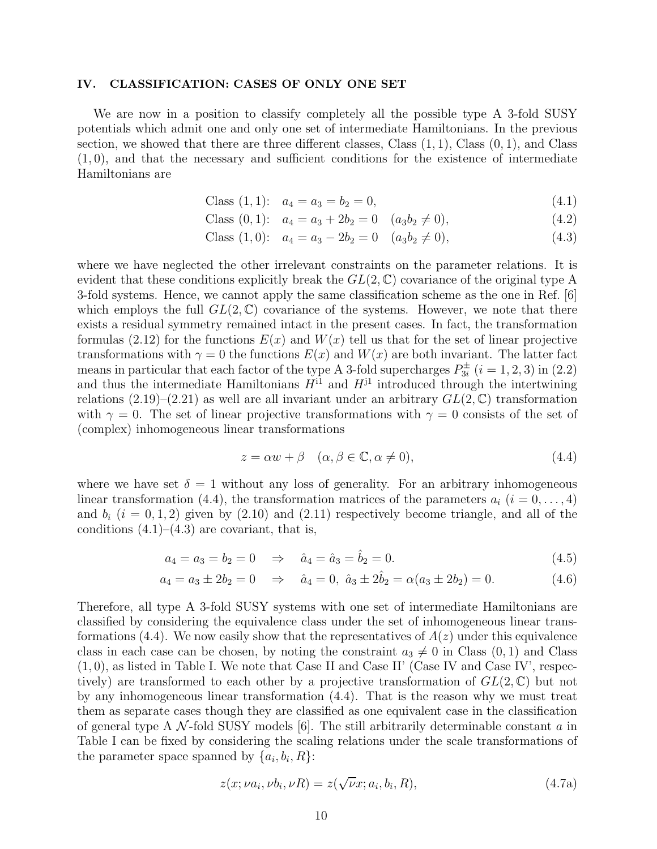## IV. CLASSIFICATION: CASES OF ONLY ONE SET

We are now in a position to classify completely all the possible type A 3-fold SUSY potentials which admit one and only one set of intermediate Hamiltonians. In the previous section, we showed that there are three different classes, Class  $(1, 1)$ , Class  $(0, 1)$ , and Class  $(1, 0)$ , and that the necessary and sufficient conditions for the existence of intermediate Hamiltonians are

Class (1,1): 
$$
a_4 = a_3 = b_2 = 0,
$$
 (4.1)

Class (0,1): 
$$
a_4 = a_3 + 2b_2 = 0
$$
  $(a_3b_2 \neq 0)$ , (4.2)

Class (1,0): 
$$
a_4 = a_3 - 2b_2 = 0
$$
  $(a_3b_2 \neq 0)$ , (4.3)

where we have neglected the other irrelevant constraints on the parameter relations. It is evident that these conditions explicitly break the  $GL(2,\mathbb{C})$  covariance of the original type A 3-fold systems. Hence, we cannot apply the same classification scheme as the one in Ref. [6] which employs the full  $GL(2,\mathbb{C})$  covariance of the systems. However, we note that there exists a residual symmetry remained intact in the present cases. In fact, the transformation formulas (2.12) for the functions  $E(x)$  and  $W(x)$  tell us that for the set of linear projective transformations with  $\gamma = 0$  the functions  $E(x)$  and  $W(x)$  are both invariant. The latter fact means in particular that each factor of the type A 3-fold supercharges  $P_{3i}^{\pm}$   $(i = 1, 2, 3)$  in (2.2) and thus the intermediate Hamiltonians  $H^{11}$  and  $H^{11}$  introduced through the intertwining relations  $(2.19)$ – $(2.21)$  as well are all invariant under an arbitrary  $GL(2,\mathbb{C})$  transformation with  $\gamma = 0$ . The set of linear projective transformations with  $\gamma = 0$  consists of the set of (complex) inhomogeneous linear transformations

$$
z = \alpha w + \beta \quad (\alpha, \beta \in \mathbb{C}, \alpha \neq 0), \tag{4.4}
$$

where we have set  $\delta = 1$  without any loss of generality. For an arbitrary inhomogeneous linear transformation (4.4), the transformation matrices of the parameters  $a_i$  ( $i = 0, \ldots, 4$ ) and  $b_i$   $(i = 0, 1, 2)$  given by  $(2.10)$  and  $(2.11)$  respectively become triangle, and all of the conditions  $(4.1)$ – $(4.3)$  are covariant, that is,

$$
a_4 = a_3 = b_2 = 0 \Rightarrow \hat{a}_4 = \hat{a}_3 = \hat{b}_2 = 0. \tag{4.5}
$$

$$
a_4 = a_3 \pm 2b_2 = 0 \Rightarrow \hat{a}_4 = 0, \ \hat{a}_3 \pm 2\hat{b}_2 = \alpha(a_3 \pm 2b_2) = 0. \tag{4.6}
$$

Therefore, all type A 3-fold SUSY systems with one set of intermediate Hamiltonians are classified by considering the equivalence class under the set of inhomogeneous linear transformations (4.4). We now easily show that the representatives of  $A(z)$  under this equivalence class in each case can be chosen, by noting the constraint  $a_3 \neq 0$  in Class  $(0, 1)$  and Class  $(1, 0)$ , as listed in Table I. We note that Case II and Case II' (Case IV and Case IV', respectively) are transformed to each other by a projective transformation of  $GL(2,\mathbb{C})$  but not by any inhomogeneous linear transformation (4.4). That is the reason why we must treat them as separate cases though they are classified as one equivalent case in the classification of general type A  $\mathcal N$ -fold SUSY models [6]. The still arbitrarily determinable constant  $a$  in Table I can be fixed by considering the scaling relations under the scale transformations of the parameter space spanned by  $\{a_i, b_i, R\}$ :

$$
z(x; \nu a_i, \nu b_i, \nu R) = z(\sqrt{\nu}x; a_i, b_i, R), \qquad (4.7a)
$$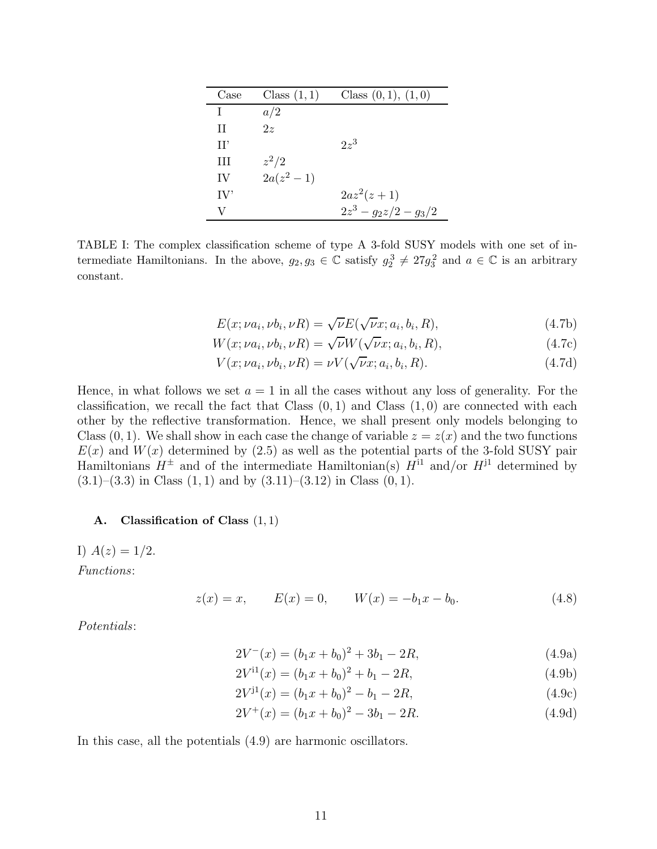| Case | Class $(1,1)$ | Class $(0,1)$ , $(1,0)$ |
|------|---------------|-------------------------|
| T    | a/2           |                         |
| H    | 2z            |                         |
| H'   |               | $2z^3$                  |
| Ш    | $z^2/2$       |                         |
| IV   | $2a(z^2-1)$   |                         |
| IV'  |               | $2az^2(z+1)$            |
| V    |               | $2z^3 - g_2z/2 - g_3/2$ |

TABLE I: The complex classification scheme of type A 3-fold SUSY models with one set of intermediate Hamiltonians. In the above,  $g_2, g_3 \in \mathbb{C}$  satisfy  $g_2^3 \neq 27g_3^2$  and  $a \in \mathbb{C}$  is an arbitrary constant.

$$
E(x; \nu a_i, \nu b_i, \nu R) = \sqrt{\nu} E(\sqrt{\nu} x; a_i, b_i, R), \qquad (4.7b)
$$

$$
W(x; \nu a_i, \nu b_i, \nu R) = \sqrt{\nu} W(\sqrt{\nu}x; a_i, b_i, R), \qquad (4.7c)
$$

$$
V(x; \nu a_i, \nu b_i, \nu R) = \nu V(\sqrt{\nu}x; a_i, b_i, R). \tag{4.7d}
$$

Hence, in what follows we set  $a = 1$  in all the cases without any loss of generality. For the classification, we recall the fact that Class  $(0, 1)$  and Class  $(1, 0)$  are connected with each other by the reflective transformation. Hence, we shall present only models belonging to Class  $(0, 1)$ . We shall show in each case the change of variable  $z = z(x)$  and the two functions  $E(x)$  and  $W(x)$  determined by (2.5) as well as the potential parts of the 3-fold SUSY pair Hamiltonians  $H^{\pm}$  and of the intermediate Hamiltonian(s)  $H^{11}$  and/or  $H^{11}$  determined by  $(3.1)$ – $(3.3)$  in Class  $(1, 1)$  and by  $(3.11)$ – $(3.12)$  in Class  $(0, 1)$ .

## A. Classification of Class  $(1, 1)$

I)  $A(z) = 1/2$ . Functions:

$$
z(x) = x, \qquad E(x) = 0, \qquad W(x) = -b_1 x - b_0. \tag{4.8}
$$

Potentials:

$$
2V^-(x) = (b_1x + b_0)^2 + 3b_1 - 2R,
$$
\n(4.9a)

$$
2V^{11}(x) = (b_1x + b_0)^2 + b_1 - 2R,
$$
\n(4.9b)

$$
2V^{j1}(x) = (b_1x + b_0)^2 - b_1 - 2R,
$$
\n(4.9c)

$$
2V^+(x) = (b_1x + b_0)^2 - 3b_1 - 2R.
$$
 (4.9d)

In this case, all the potentials (4.9) are harmonic oscillators.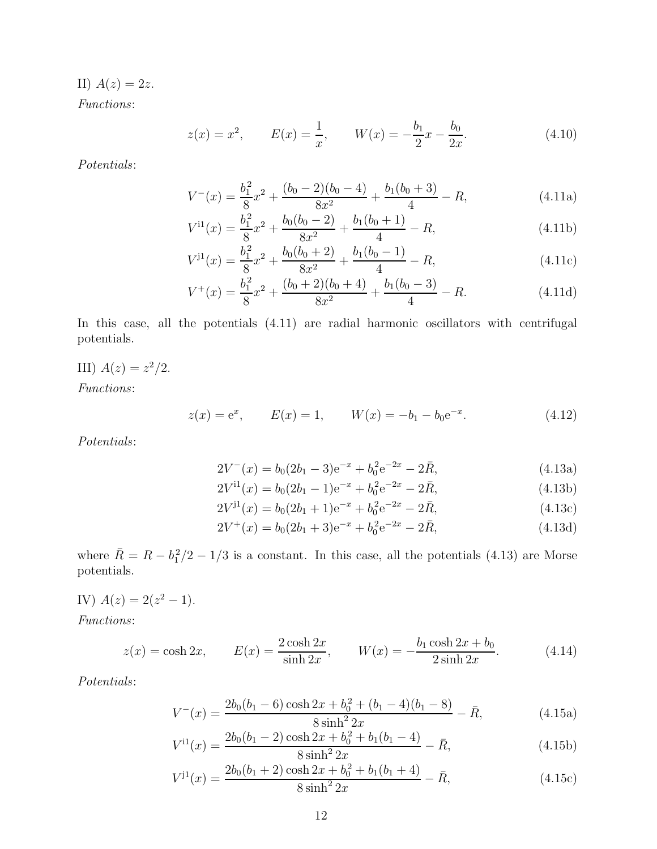II)  $A(z) = 2z$ .

Functions:

$$
z(x) = x^2, \qquad E(x) = \frac{1}{x}, \qquad W(x) = -\frac{b_1}{2}x - \frac{b_0}{2x}.
$$
 (4.10)

Potentials:

$$
V^{-}(x) = \frac{b_1^2}{8}x^2 + \frac{(b_0 - 2)(b_0 - 4)}{8x^2} + \frac{b_1(b_0 + 3)}{4} - R,\tag{4.11a}
$$

$$
V^{i1}(x) = \frac{b_1^2}{8}x^2 + \frac{b_0(b_0 - 2)}{8x^2} + \frac{b_1(b_0 + 1)}{4} - R,\tag{4.11b}
$$

$$
V^{j1}(x) = \frac{b_1^2}{8}x^2 + \frac{b_0(b_0 + 2)}{8x^2} + \frac{b_1(b_0 - 1)}{4} - R,\tag{4.11c}
$$

$$
V^{+}(x) = \frac{b_1^2}{8}x^2 + \frac{(b_0 + 2)(b_0 + 4)}{8x^2} + \frac{b_1(b_0 - 3)}{4} - R.
$$
 (4.11d)

In this case, all the potentials  $(4.11)$  are radial harmonic oscillators with centrifugal potentials.

III)  $A(z) = z^2/2$ .

Functions:

$$
z(x) = e^x
$$
,  $E(x) = 1$ ,  $W(x) = -b_1 - b_0 e^{-x}$ . (4.12)

Potentials:

$$
2V^{-}(x) = b_0(2b_1 - 3)e^{-x} + b_0^2 e^{-2x} - 2\bar{R},
$$
\n(4.13a)

$$
2V^{i1}(x) = b_0(2b_1 - 1)e^{-x} + b_0^2 e^{-2x} - 2\bar{R},
$$
\n(4.13b)

$$
2V^{j1}(x) = b_0(2b_1 + 1)e^{-x} + b_0^2 e^{-2x} - 2\bar{R},
$$
\n(4.13c)

$$
2V^{+}(x) = b_0(2b_1 + 3)e^{-x} + b_0^2 e^{-2x} - 2\bar{R},
$$
\n(4.13d)

where  $\overline{R} = R - b_1^2/2 - 1/3$  is a constant. In this case, all the potentials (4.13) are Morse potentials.

IV)  $A(z) = 2(z^2 - 1)$ .

Functions:

$$
z(x) = \cosh 2x, \qquad E(x) = \frac{2\cosh 2x}{\sinh 2x}, \qquad W(x) = -\frac{b_1 \cosh 2x + b_0}{2\sinh 2x}.\tag{4.14}
$$

Potentials:

$$
V^{-}(x) = \frac{2b_0(b_1 - 6)\cosh 2x + b_0^2 + (b_1 - 4)(b_1 - 8)}{8\sinh^2 2x} - \bar{R},
$$
\n(4.15a)

$$
V^{i1}(x) = \frac{2b_0(b_1 - 2)\cosh 2x + b_0^2 + b_1(b_1 - 4)}{8\sinh^2 2x} - \bar{R},
$$
\n(4.15b)

$$
V^{j1}(x) = \frac{2b_0(b_1+2)\cosh 2x + b_0^2 + b_1(b_1+4)}{8\sinh^2 2x} - \bar{R},
$$
\n(4.15c)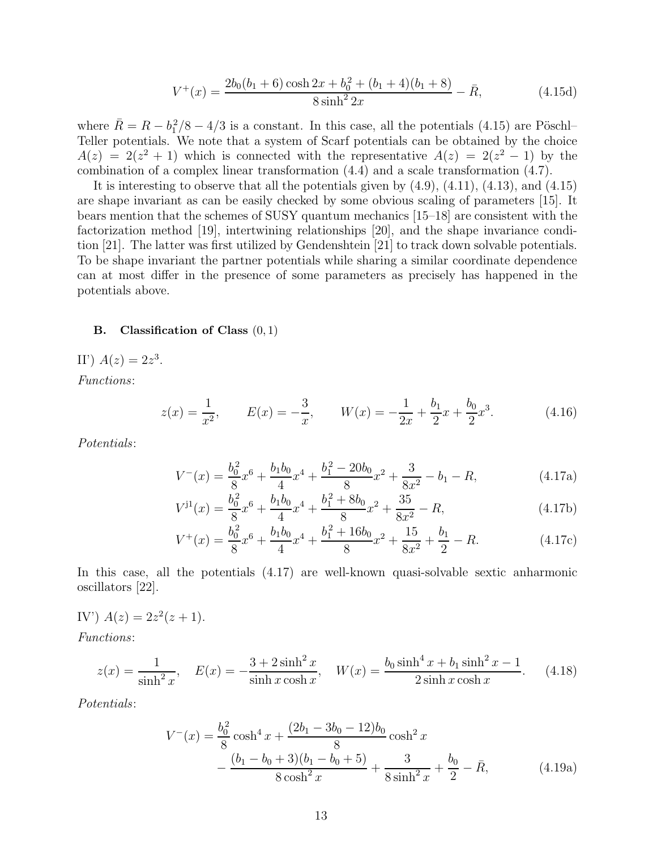$$
V^{+}(x) = \frac{2b_0(b_1+6)\cosh 2x + b_0^2 + (b_1+4)(b_1+8)}{8\sinh^2 2x} - \bar{R},
$$
\n(4.15d)

where  $\bar{R} = R - b_1^2/8 - 4/3$  is a constant. In this case, all the potentials (4.15) are Pöschl– Teller potentials. We note that a system of Scarf potentials can be obtained by the choice  $A(z) = 2(z^2 + 1)$  which is connected with the representative  $A(z) = 2(z^2 - 1)$  by the combination of a complex linear transformation (4.4) and a scale transformation (4.7).

It is interesting to observe that all the potentials given by  $(4.9)$ ,  $(4.11)$ ,  $(4.13)$ , and  $(4.15)$ are shape invariant as can be easily checked by some obvious scaling of parameters [15]. It bears mention that the schemes of SUSY quantum mechanics [15–18] are consistent with the factorization method [19], intertwining relationships [20], and the shape invariance condition [21]. The latter was first utilized by Gendenshtein [21] to track down solvable potentials. To be shape invariant the partner potentials while sharing a similar coordinate dependence can at most differ in the presence of some parameters as precisely has happened in the potentials above.

# **B.** Classification of Class  $(0, 1)$

II')  $A(z) = 2z^3$ .

Functions:

$$
z(x) = \frac{1}{x^2}, \qquad E(x) = -\frac{3}{x}, \qquad W(x) = -\frac{1}{2x} + \frac{b_1}{2}x + \frac{b_0}{2}x^3. \tag{4.16}
$$

Potentials:

$$
V^{-}(x) = \frac{b_0^2}{8}x^6 + \frac{b_1b_0}{4}x^4 + \frac{b_1^2 - 20b_0}{8}x^2 + \frac{3}{8x^2} - b_1 - R,\tag{4.17a}
$$

$$
V^{j1}(x) = \frac{b_0^2}{8}x^6 + \frac{b_1b_0}{4}x^4 + \frac{b_1^2 + 8b_0}{8}x^2 + \frac{35}{8x^2} - R,\tag{4.17b}
$$

$$
V^{+}(x) = \frac{b_0^2}{8}x^6 + \frac{b_1b_0}{4}x^4 + \frac{b_1^2 + 16b_0}{8}x^2 + \frac{15}{8x^2} + \frac{b_1}{2} - R.
$$
 (4.17c)

In this case, all the potentials (4.17) are well-known quasi-solvable sextic anharmonic oscillators [22].

IV') 
$$
A(z) = 2z^2(z+1)
$$
.

Functions:

$$
z(x) = \frac{1}{\sinh^2 x}, \quad E(x) = -\frac{3 + 2\sinh^2 x}{\sinh x \cosh x}, \quad W(x) = \frac{b_0 \sinh^4 x + b_1 \sinh^2 x - 1}{2\sinh x \cosh x}.
$$
 (4.18)

Potentials:

$$
V^{-}(x) = \frac{b_0^2}{8} \cosh^4 x + \frac{(2b_1 - 3b_0 - 12)b_0}{8} \cosh^2 x - \frac{(b_1 - b_0 + 3)(b_1 - b_0 + 5)}{8 \cosh^2 x} + \frac{3}{8 \sinh^2 x} + \frac{b_0}{2} - \bar{R},
$$
 (4.19a)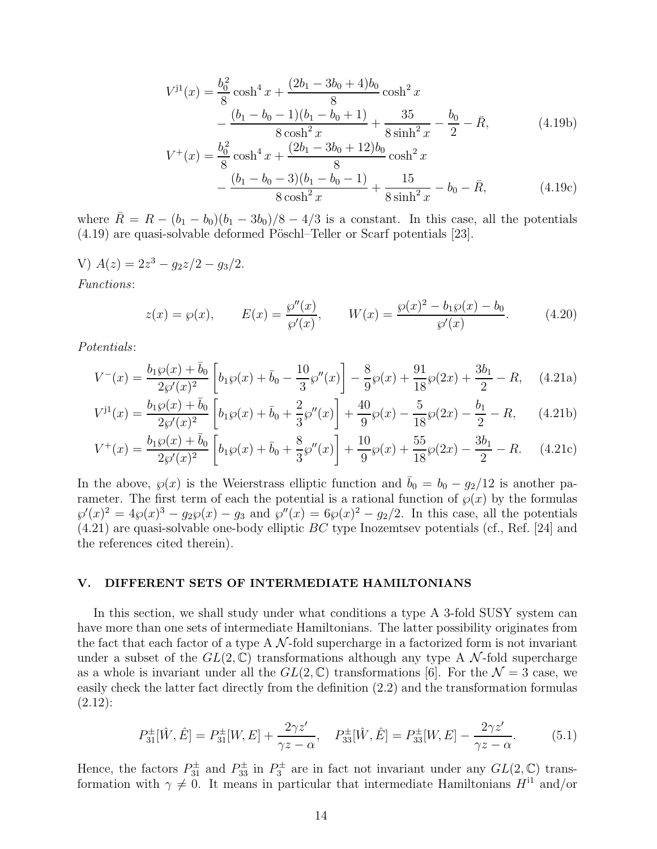$$
V^{j1}(x) = \frac{b_0^2}{8} \cosh^4 x + \frac{(2b_1 - 3b_0 + 4)b_0}{8} \cosh^2 x - \frac{(b_1 - b_0 - 1)(b_1 - b_0 + 1)}{8 \cosh^2 x} + \frac{35}{8 \sinh^2 x} - \frac{b_0}{2} - \bar{R},
$$
 (4.19b)  

$$
V^+(x) = \frac{b_0^2}{8} \cosh^4 x + \frac{(2b_1 - 3b_0 + 12)b_0}{8} \cosh^2 x - \frac{(b_1 - b_0 - 3)(b_1 - b_0 - 1)}{8 \cosh^2 x} + \frac{15}{8 \sinh^2 x} - b_0 - \bar{R},
$$
 (4.19c)

where  $\bar{R} = R - (b_1 - b_0)(b_1 - 3b_0)/8 - 4/3$  is a constant. In this case, all the potentials  $(4.19)$  are quasi-solvable deformed Pöschl–Teller or Scarf potentials [23].

V)  $A(z) = 2z^3 - g_2z/2 - g_3/2.$ Functions:

$$
z(x) = \wp(x), \qquad E(x) = \frac{\wp''(x)}{\wp'(x)}, \qquad W(x) = \frac{\wp(x)^2 - b_1 \wp(x) - b_0}{\wp'(x)}.\tag{4.20}
$$

Potentials:

$$
V^{-}(x) = \frac{b_1 \wp(x) + \bar{b}_0}{2\wp'(x)^2} \left[ b_1 \wp(x) + \bar{b}_0 - \frac{10}{3} \wp''(x) \right] - \frac{8}{9} \wp(x) + \frac{91}{18} \wp(2x) + \frac{3b_1}{2} - R, \quad (4.21a)
$$

$$
V^{j1}(x) = \frac{b_1 \wp(x) + \bar{b}_0}{2\wp'(x)^2} \left[ b_1 \wp(x) + \bar{b}_0 + \frac{2}{3} \wp''(x) \right] + \frac{40}{9} \wp(x) - \frac{5}{18} \wp(2x) - \frac{b_1}{2} - R,\qquad(4.21b)
$$

$$
V^{+}(x) = \frac{b_1 \wp(x) + \bar{b}_0}{2\wp'(x)^2} \left[ b_1 \wp(x) + \bar{b}_0 + \frac{8}{3} \wp''(x) \right] + \frac{10}{9} \wp(x) + \frac{55}{18} \wp(2x) - \frac{3b_1}{2} - R. \tag{4.21c}
$$

In the above,  $\wp(x)$  is the Weierstrass elliptic function and  $\bar{b}_0 = b_0 - g_2/12$  is another parameter. The first term of each the potential is a rational function of  $\wp(x)$  by the formulas  $\wp'(x)^2 = 4\wp(x)^3 - g_2\wp(x) - g_3$  and  $\wp''(x) = 6\wp(x)^2 - g_2/2$ . In this case, all the potentials  $(4.21)$  are quasi-solvable one-body elliptic BC type Inozemtsev potentials (cf., Ref. [24] and the references cited therein).

## V. DIFFERENT SETS OF INTERMEDIATE HAMILTONIANS

In this section, we shall study under what conditions a type A 3-fold SUSY system can have more than one sets of intermediate Hamiltonians. The latter possibility originates from the fact that each factor of a type A  $\mathcal N$ -fold supercharge in a factorized form is not invariant under a subset of the  $GL(2,\mathbb{C})$  transformations although any type A N-fold supercharge as a whole is invariant under all the  $GL(2,\mathbb{C})$  transformations [6]. For the  $\mathcal{N}=3$  case, we easily check the latter fact directly from the definition (2.2) and the transformation formulas  $(2.12)$ :

$$
P_{31}^{\pm}[\hat{W}, \hat{E}] = P_{31}^{\pm}[W, E] + \frac{2\gamma z'}{\gamma z - \alpha}, \quad P_{33}^{\pm}[\hat{W}, \hat{E}] = P_{33}^{\pm}[W, E] - \frac{2\gamma z'}{\gamma z - \alpha}.
$$
 (5.1)

Hence, the factors  $P_{31}^{\pm}$  and  $P_{33}^{\pm}$  in  $P_{3}^{\pm}$  are in fact not invariant under any  $GL(2,\mathbb{C})$  transformation with  $\gamma \neq 0$ . It means in particular that intermediate Hamiltonians  $H^{11}$  and/or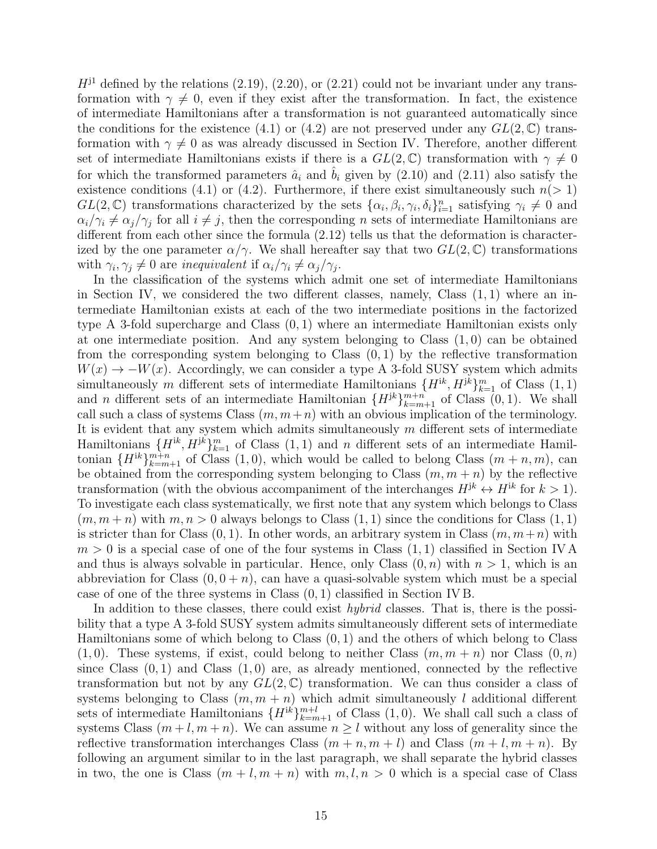$H^{j1}$  defined by the relations (2.19), (2.20), or (2.21) could not be invariant under any transformation with  $\gamma \neq 0$ , even if they exist after the transformation. In fact, the existence of intermediate Hamiltonians after a transformation is not guaranteed automatically since the conditions for the existence (4.1) or (4.2) are not preserved under any  $GL(2,\mathbb{C})$  transformation with  $\gamma \neq 0$  as was already discussed in Section IV. Therefore, another different set of intermediate Hamiltonians exists if there is a  $GL(2,\mathbb{C})$  transformation with  $\gamma \neq 0$ for which the transformed parameters  $\hat{a}_i$  and  $b_i$  given by (2.10) and (2.11) also satisfy the existence conditions (4.1) or (4.2). Furthermore, if there exist simultaneously such  $n(> 1)$  $GL(2,\mathbb{C})$  transformations characterized by the sets  $\{\alpha_i,\beta_i,\gamma_i,\delta_i\}_{i=1}^n$  satisfying  $\gamma_i \neq 0$  and  $\alpha_i/\gamma_i \neq \alpha_j/\gamma_j$  for all  $i \neq j$ , then the corresponding n sets of intermediate Hamiltonians are different from each other since the formula  $(2.12)$  tells us that the deformation is characterized by the one parameter  $\alpha/\gamma$ . We shall hereafter say that two  $GL(2,\mathbb{C})$  transformations with  $\gamma_i, \gamma_j \neq 0$  are inequivalent if  $\alpha_i/\gamma_i \neq \alpha_j/\gamma_j$ .

In the classification of the systems which admit one set of intermediate Hamiltonians in Section IV, we considered the two different classes, namely, Class  $(1, 1)$  where an intermediate Hamiltonian exists at each of the two intermediate positions in the factorized type A 3-fold supercharge and Class (0, 1) where an intermediate Hamiltonian exists only at one intermediate position. And any system belonging to Class  $(1,0)$  can be obtained from the corresponding system belonging to Class  $(0, 1)$  by the reflective transformation  $W(x) \to -W(x)$ . Accordingly, we can consider a type A 3-fold SUSY system which admits simultaneously m different sets of intermediate Hamiltonians  $\{H^{ik}, H^{jk}\}_{k=1}^m$  of Class  $(1, 1)$ and *n* different sets of an intermediate Hamiltonian  ${H^{jk}}_{k=m+1}^{m+n}$  of Class  $(0, 1)$ . We shall call such a class of systems Class  $(m, m+n)$  with an obvious implication of the terminology. It is evident that any system which admits simultaneously  $m$  different sets of intermediate Hamiltonians  $\{H^{ik}, H^{jk}\}_{k=1}^m$  of Class  $(1, 1)$  and n different sets of an intermediate Hamiltonian  ${H^{ik}}_{k=m+1}^{m+n}$  of Class  $(1,0)$ , which would be called to belong Class  $(m+n, m)$ , can be obtained from the corresponding system belonging to Class  $(m, m + n)$  by the reflective transformation (with the obvious accompaniment of the interchanges  $H^{jk} \leftrightarrow H^{ik}$  for  $k > 1$ ). To investigate each class systematically, we first note that any system which belongs to Class  $(m, m+n)$  with  $m, n > 0$  always belongs to Class  $(1, 1)$  since the conditions for Class  $(1, 1)$ is stricter than for Class  $(0, 1)$ . In other words, an arbitrary system in Class  $(m, m+n)$  with  $m > 0$  is a special case of one of the four systems in Class  $(1, 1)$  classified in Section IV A and thus is always solvable in particular. Hence, only Class  $(0, n)$  with  $n > 1$ , which is an abbreviation for Class  $(0, 0 + n)$ , can have a quasi-solvable system which must be a special case of one of the three systems in Class (0, 1) classified in Section IV B.

In addition to these classes, there could exist *hybrid* classes. That is, there is the possibility that a type A 3-fold SUSY system admits simultaneously different sets of intermediate Hamiltonians some of which belong to Class (0, 1) and the others of which belong to Class  $(1, 0)$ . These systems, if exist, could belong to neither Class  $(m, m + n)$  nor Class  $(0, n)$ since Class  $(0, 1)$  and Class  $(1, 0)$  are, as already mentioned, connected by the reflective transformation but not by any  $GL(2,\mathbb{C})$  transformation. We can thus consider a class of systems belonging to Class  $(m, m + n)$  which admit simultaneously l additional different sets of intermediate Hamiltonians  ${H^{ik}}_{k=m+1}^{m+l}$  of Class (1,0). We shall call such a class of systems Class  $(m+l, m+n)$ . We can assume  $n \geq l$  without any loss of generality since the reflective transformation interchanges Class  $(m + n, m + l)$  and Class  $(m + l, m + n)$ . By following an argument similar to in the last paragraph, we shall separate the hybrid classes in two, the one is Class  $(m + l, m + n)$  with  $m, l, n > 0$  which is a special case of Class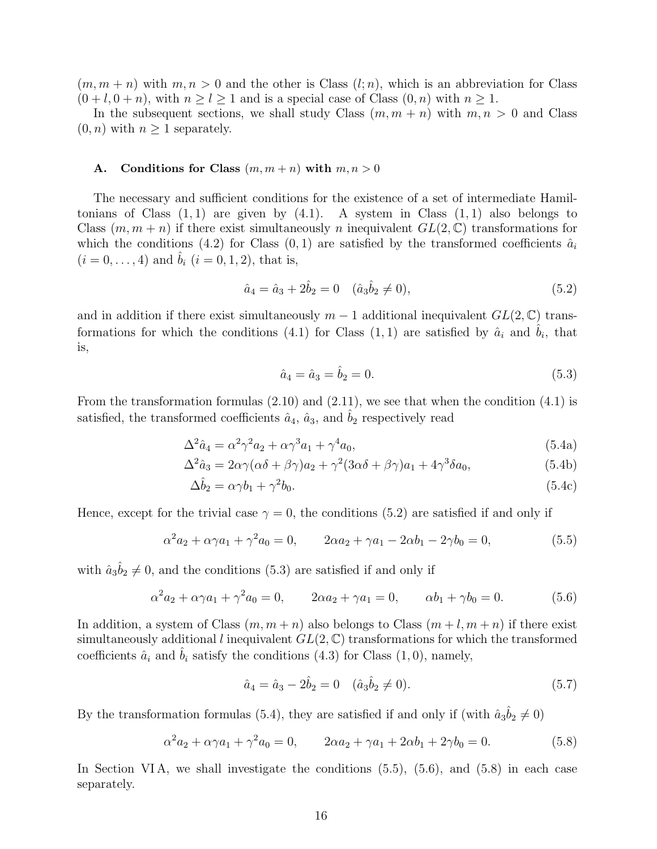$(m, m + n)$  with  $m, n > 0$  and the other is Class  $(l; n)$ , which is an abbreviation for Class  $(0 + l, 0 + n)$ , with  $n \ge l \ge 1$  and is a special case of Class  $(0, n)$  with  $n \ge 1$ .

In the subsequent sections, we shall study Class  $(m, m + n)$  with  $m, n > 0$  and Class  $(0, n)$  with  $n \geq 1$  separately.

#### A. Conditions for Class  $(m, m+n)$  with  $m, n > 0$

The necessary and sufficient conditions for the existence of a set of intermediate Hamiltonians of Class  $(1, 1)$  are given by  $(4.1)$ . A system in Class  $(1, 1)$  also belongs to Class  $(m, m + n)$  if there exist simultaneously n inequivalent  $GL(2, \mathbb{C})$  transformations for which the conditions (4.2) for Class  $(0, 1)$  are satisfied by the transformed coefficients  $\hat{a}_i$  $(i = 0, \ldots, 4)$  and  $\hat{b}_i$   $(i = 0, 1, 2)$ , that is,

$$
\hat{a}_4 = \hat{a}_3 + 2\hat{b}_2 = 0 \quad (\hat{a}_3\hat{b}_2 \neq 0), \tag{5.2}
$$

and in addition if there exist simultaneously  $m-1$  additional inequivalent  $GL(2,\mathbb{C})$  transformations for which the conditions (4.1) for Class  $(1,1)$  are satisfied by  $\hat{a}_i$  and  $\hat{b}_i$ , that is,

$$
\hat{a}_4 = \hat{a}_3 = \hat{b}_2 = 0. \tag{5.3}
$$

From the transformation formulas (2.10) and (2.11), we see that when the condition (4.1) is satisfied, the transformed coefficients  $\hat{a}_4$ ,  $\hat{a}_3$ , and  $\hat{b}_2$  respectively read

$$
\Delta^2 \hat{a}_4 = \alpha^2 \gamma^2 a_2 + \alpha \gamma^3 a_1 + \gamma^4 a_0,\tag{5.4a}
$$

$$
\Delta^2 \hat{a}_3 = 2\alpha \gamma (\alpha \delta + \beta \gamma) a_2 + \gamma^2 (3\alpha \delta + \beta \gamma) a_1 + 4\gamma^3 \delta a_0, \tag{5.4b}
$$

$$
\Delta \hat{b}_2 = \alpha \gamma b_1 + \gamma^2 b_0. \tag{5.4c}
$$

Hence, except for the trivial case  $\gamma = 0$ , the conditions (5.2) are satisfied if and only if

$$
\alpha^2 a_2 + \alpha \gamma a_1 + \gamma^2 a_0 = 0, \qquad 2\alpha a_2 + \gamma a_1 - 2\alpha b_1 - 2\gamma b_0 = 0,\tag{5.5}
$$

with  $\hat{a}_3 \hat{b}_2 \neq 0$ , and the conditions (5.3) are satisfied if and only if

$$
\alpha^2 a_2 + \alpha \gamma a_1 + \gamma^2 a_0 = 0, \qquad 2\alpha a_2 + \gamma a_1 = 0, \qquad \alpha b_1 + \gamma b_0 = 0. \tag{5.6}
$$

In addition, a system of Class  $(m, m+n)$  also belongs to Class  $(m+l, m+n)$  if there exist simultaneously additional l inequivalent  $GL(2,\mathbb{C})$  transformations for which the transformed coefficients  $\hat{a}_i$  and  $\hat{b}_i$  satisfy the conditions (4.3) for Class (1,0), namely,

$$
\hat{a}_4 = \hat{a}_3 - 2\hat{b}_2 = 0 \quad (\hat{a}_3\hat{b}_2 \neq 0). \tag{5.7}
$$

By the transformation formulas (5.4), they are satisfied if and only if (with  $\hat{a}_3 \hat{b}_2 \neq 0$ )

$$
\alpha^2 a_2 + \alpha \gamma a_1 + \gamma^2 a_0 = 0, \qquad 2\alpha a_2 + \gamma a_1 + 2\alpha b_1 + 2\gamma b_0 = 0. \tag{5.8}
$$

In Section VIA, we shall investigate the conditions  $(5.5)$ ,  $(5.6)$ , and  $(5.8)$  in each case separately.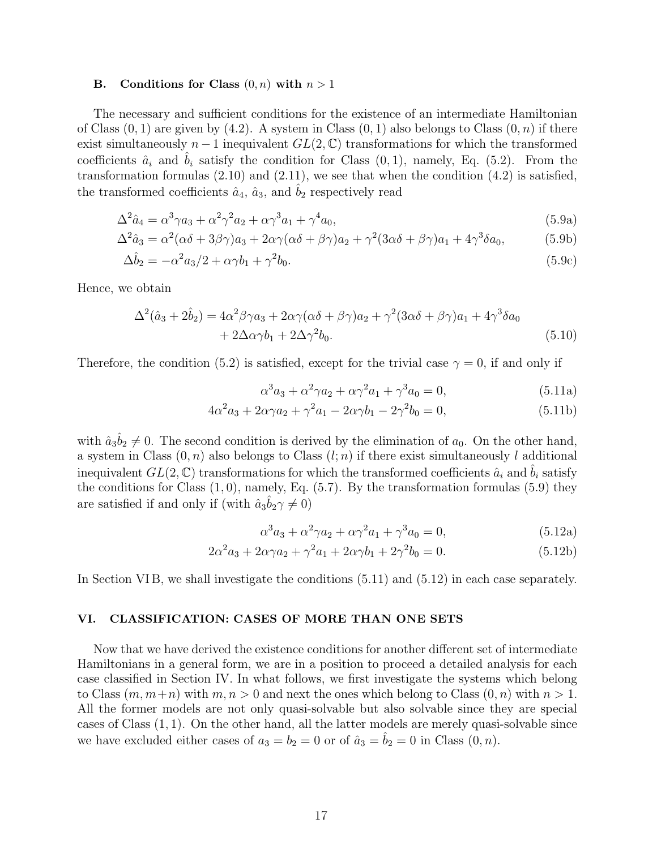#### B. Conditions for Class  $(0, n)$  with  $n > 1$

The necessary and sufficient conditions for the existence of an intermediate Hamiltonian of Class  $(0, 1)$  are given by  $(4.2)$ . A system in Class  $(0, 1)$  also belongs to Class  $(0, n)$  if there exist simultaneously  $n-1$  inequivalent  $GL(2,\mathbb{C})$  transformations for which the transformed coefficients  $\hat{a}_i$  and  $\hat{b}_i$  satisfy the condition for Class  $(0, 1)$ , namely, Eq. (5.2). From the transformation formulas  $(2.10)$  and  $(2.11)$ , we see that when the condition  $(4.2)$  is satisfied, the transformed coefficients  $\hat{a}_4$ ,  $\hat{a}_3$ , and  $b_2$  respectively read

$$
\Delta^2 \hat{a}_4 = \alpha^3 \gamma a_3 + \alpha^2 \gamma^2 a_2 + \alpha \gamma^3 a_1 + \gamma^4 a_0,\tag{5.9a}
$$

$$
\Delta^2 \hat{a}_3 = \alpha^2 (\alpha \delta + 3\beta \gamma) a_3 + 2\alpha \gamma (\alpha \delta + \beta \gamma) a_2 + \gamma^2 (3\alpha \delta + \beta \gamma) a_1 + 4\gamma^3 \delta a_0, \tag{5.9b}
$$

$$
\Delta \hat{b}_2 = -\alpha^2 a_3/2 + \alpha \gamma b_1 + \gamma^2 b_0. \tag{5.9c}
$$

Hence, we obtain

$$
\Delta^{2}(\hat{a}_{3} + 2\hat{b}_{2}) = 4\alpha^{2}\beta\gamma a_{3} + 2\alpha\gamma(\alpha\delta + \beta\gamma)a_{2} + \gamma^{2}(3\alpha\delta + \beta\gamma)a_{1} + 4\gamma^{3}\delta a_{0}
$$

$$
+ 2\Delta\alpha\gamma b_{1} + 2\Delta\gamma^{2}b_{0}. \tag{5.10}
$$

Therefore, the condition (5.2) is satisfied, except for the trivial case  $\gamma = 0$ , if and only if

$$
\alpha^3 a_3 + \alpha^2 \gamma a_2 + \alpha \gamma^2 a_1 + \gamma^3 a_0 = 0, \qquad (5.11a)
$$

$$
4\alpha^2 a_3 + 2\alpha \gamma a_2 + \gamma^2 a_1 - 2\alpha \gamma b_1 - 2\gamma^2 b_0 = 0,
$$
\n(5.11b)

with  $\hat{a}_3 \hat{b}_2 \neq 0$ . The second condition is derived by the elimination of  $a_0$ . On the other hand, a system in Class  $(0, n)$  also belongs to Class  $(l; n)$  if there exist simultaneously l additional inequivalent  $GL(2, \mathbb{C})$  transformations for which the transformed coefficients  $\hat{a}_i$  and  $b_i$  satisfy the conditions for Class  $(1, 0)$ , namely, Eq.  $(5.7)$ . By the transformation formulas  $(5.9)$  they are satisfied if and only if (with  $\hat{a}_3 \hat{b}_2 \gamma \neq 0$ )

$$
\alpha^3 a_3 + \alpha^2 \gamma a_2 + \alpha \gamma^2 a_1 + \gamma^3 a_0 = 0, \qquad (5.12a)
$$

$$
2\alpha^2 a_3 + 2\alpha\gamma a_2 + \gamma^2 a_1 + 2\alpha\gamma b_1 + 2\gamma^2 b_0 = 0.
$$
 (5.12b)

In Section VIB, we shall investigate the conditions  $(5.11)$  and  $(5.12)$  in each case separately.

# VI. CLASSIFICATION: CASES OF MORE THAN ONE SETS

Now that we have derived the existence conditions for another different set of intermediate Hamiltonians in a general form, we are in a position to proceed a detailed analysis for each case classified in Section IV. In what follows, we first investigate the systems which belong to Class  $(m, m+n)$  with  $m, n > 0$  and next the ones which belong to Class  $(0, n)$  with  $n > 1$ . All the former models are not only quasi-solvable but also solvable since they are special cases of Class (1, 1). On the other hand, all the latter models are merely quasi-solvable since we have excluded either cases of  $a_3 = b_2 = 0$  or of  $\hat{a}_3 = \hat{b}_2 = 0$  in Class  $(0, n)$ .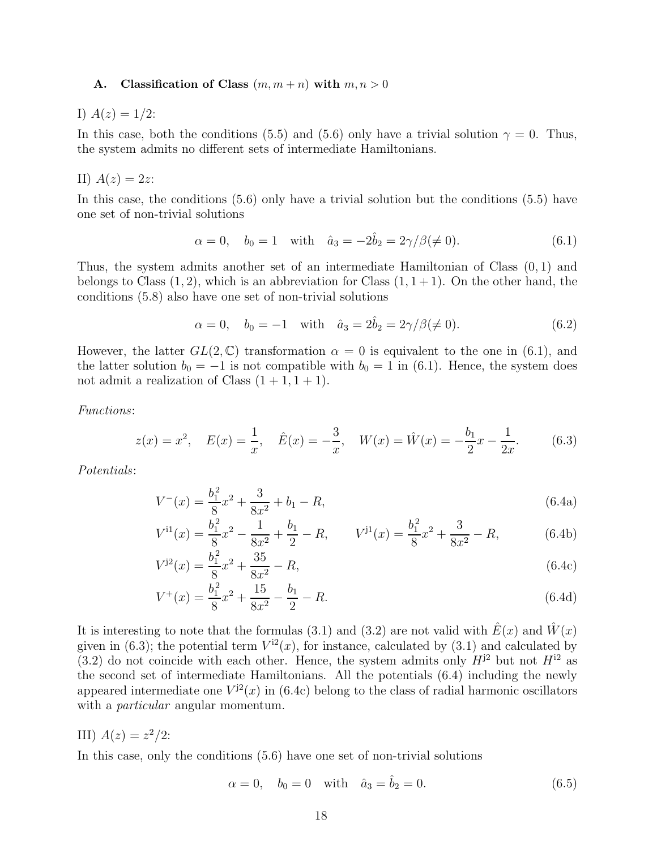# A. Classification of Class  $(m, m+n)$  with  $m, n > 0$

I)  $A(z) = 1/2$ :

In this case, both the conditions (5.5) and (5.6) only have a trivial solution  $\gamma = 0$ . Thus, the system admits no different sets of intermediate Hamiltonians.

II) 
$$
A(z) = 2z
$$
:

In this case, the conditions (5.6) only have a trivial solution but the conditions (5.5) have one set of non-trivial solutions

$$
\alpha = 0
$$
,  $b_0 = 1$  with  $\hat{a}_3 = -2\hat{b}_2 = 2\gamma/\beta (\neq 0)$ . (6.1)

Thus, the system admits another set of an intermediate Hamiltonian of Class (0, 1) and belongs to Class  $(1, 2)$ , which is an abbreviation for Class  $(1, 1 + 1)$ . On the other hand, the conditions (5.8) also have one set of non-trivial solutions

$$
\alpha = 0
$$
,  $b_0 = -1$  with  $\hat{a}_3 = 2\hat{b}_2 = 2\gamma/\beta (\neq 0)$ . (6.2)

However, the latter  $GL(2,\mathbb{C})$  transformation  $\alpha = 0$  is equivalent to the one in (6.1), and the latter solution  $b_0 = -1$  is not compatible with  $b_0 = 1$  in (6.1). Hence, the system does not admit a realization of Class  $(1 + 1, 1 + 1)$ .

Functions:

$$
z(x) = x^2, \quad E(x) = \frac{1}{x}, \quad \hat{E}(x) = -\frac{3}{x}, \quad W(x) = \hat{W}(x) = -\frac{b_1}{2}x - \frac{1}{2x}.
$$
 (6.3)

Potentials:

$$
V^{-}(x) = \frac{b_1^2}{8}x^2 + \frac{3}{8x^2} + b_1 - R,\tag{6.4a}
$$

$$
V^{11}(x) = \frac{b_1^2}{8}x^2 - \frac{1}{8x^2} + \frac{b_1}{2} - R, \qquad V^{11}(x) = \frac{b_1^2}{8}x^2 + \frac{3}{8x^2} - R,\tag{6.4b}
$$

$$
V^{j2}(x) = \frac{b_1^2}{8}x^2 + \frac{35}{8x^2} - R,\tag{6.4c}
$$

$$
V^{+}(x) = \frac{b_1^2}{8}x^2 + \frac{15}{8x^2} - \frac{b_1}{2} - R.
$$
\n(6.4d)

It is interesting to note that the formulas (3.1) and (3.2) are not valid with  $\hat{E}(x)$  and  $\hat{W}(x)$ given in (6.3); the potential term  $V^{i2}(x)$ , for instance, calculated by (3.1) and calculated by (3.2) do not coincide with each other. Hence, the system admits only  $H^{j2}$  but not  $H^{i2}$  as the second set of intermediate Hamiltonians. All the potentials (6.4) including the newly appeared intermediate one  $V^{j2}(x)$  in (6.4c) belong to the class of radial harmonic oscillators with a *particular* angular momentum.

III)  $A(z) = z^2/2$ :

In this case, only the conditions (5.6) have one set of non-trivial solutions

$$
\alpha = 0, \quad b_0 = 0 \quad \text{with} \quad \hat{a}_3 = \hat{b}_2 = 0.
$$
\n(6.5)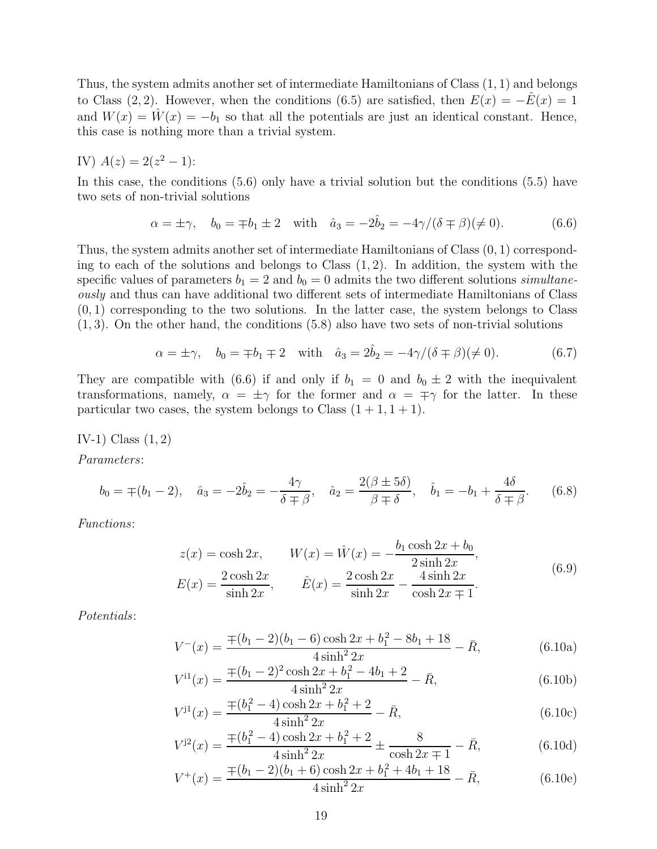Thus, the system admits another set of intermediate Hamiltonians of Class (1, 1) and belongs to Class (2, 2). However, when the conditions (6.5) are satisfied, then  $E(x) = -\hat{E}(x) = 1$ and  $W(x) = W(x) = -b_1$  so that all the potentials are just an identical constant. Hence, this case is nothing more than a trivial system.

IV) 
$$
A(z) = 2(z^2 - 1)
$$
:

In this case, the conditions (5.6) only have a trivial solution but the conditions (5.5) have two sets of non-trivial solutions

$$
\alpha = \pm \gamma
$$
,  $b_0 = \mp b_1 \pm 2$  with  $\hat{a}_3 = -2\hat{b}_2 = -4\gamma/(\delta \mp \beta)(\neq 0)$ . (6.6)

Thus, the system admits another set of intermediate Hamiltonians of Class (0, 1) corresponding to each of the solutions and belongs to Class  $(1, 2)$ . In addition, the system with the specific values of parameters  $b_1 = 2$  and  $b_0 = 0$  admits the two different solutions simultaneously and thus can have additional two different sets of intermediate Hamiltonians of Class  $(0, 1)$  corresponding to the two solutions. In the latter case, the system belongs to Class  $(1, 3)$ . On the other hand, the conditions  $(5.8)$  also have two sets of non-trivial solutions

$$
\alpha = \pm \gamma
$$
,  $b_0 = \mp b_1 \mp 2$  with  $\hat{a}_3 = 2\hat{b}_2 = -4\gamma/(\delta \mp \beta)(\neq 0)$ . (6.7)

They are compatible with (6.6) if and only if  $b_1 = 0$  and  $b_0 \pm 2$  with the inequivalent transformations, namely,  $\alpha = \pm \gamma$  for the former and  $\alpha = \mp \gamma$  for the latter. In these particular two cases, the system belongs to Class  $(1 + 1, 1 + 1)$ .

IV-1) Class  $(1, 2)$ 

Parameters:

$$
b_0 = \mp (b_1 - 2), \quad \hat{a}_3 = -2\hat{b}_2 = -\frac{4\gamma}{\delta \mp \beta}, \quad \hat{a}_2 = \frac{2(\beta \pm 5\delta)}{\beta \mp \delta}, \quad \hat{b}_1 = -b_1 + \frac{4\delta}{\delta \mp \beta}.
$$
 (6.8)

Functions:

$$
z(x) = \cosh 2x, \qquad W(x) = \hat{W}(x) = -\frac{b_1 \cosh 2x + b_0}{2 \sinh 2x},
$$
  
\n
$$
E(x) = \frac{2 \cosh 2x}{\sinh 2x}, \qquad \hat{E}(x) = \frac{2 \cosh 2x}{\sinh 2x} - \frac{4 \sinh 2x}{\cosh 2x \mp 1}.
$$
\n(6.9)

Potentials:

$$
V^{-}(x) = \frac{\mp (b_1 - 2)(b_1 - 6)\cosh 2x + b_1^2 - 8b_1 + 18}{4\sinh^2 2x} - \bar{R},
$$
\n(6.10a)

$$
V^{i1}(x) = \frac{\mp (b_1 - 2)^2 \cosh 2x + b_1^2 - 4b_1 + 2}{4 \sinh^2 2x} - \bar{R},
$$
\n(6.10b)

$$
V^{j1}(x) = \frac{\pm (b_1^2 - 4)\cosh 2x + b_1^2 + 2}{4\sinh^2 2x} - \bar{R},
$$
\n(6.10c)

$$
V^{j2}(x) = \frac{\mp (b_1^2 - 4)\cosh 2x + b_1^2 + 2}{4\sinh^2 2x} \pm \frac{8}{\cosh 2x \mp 1} - \bar{R},\tag{6.10d}
$$

$$
V^{+}(x) = \frac{\mp (b_1 - 2)(b_1 + 6)\cosh 2x + b_1^2 + 4b_1 + 18}{4\sinh^2 2x} - \bar{R},
$$
(6.10e)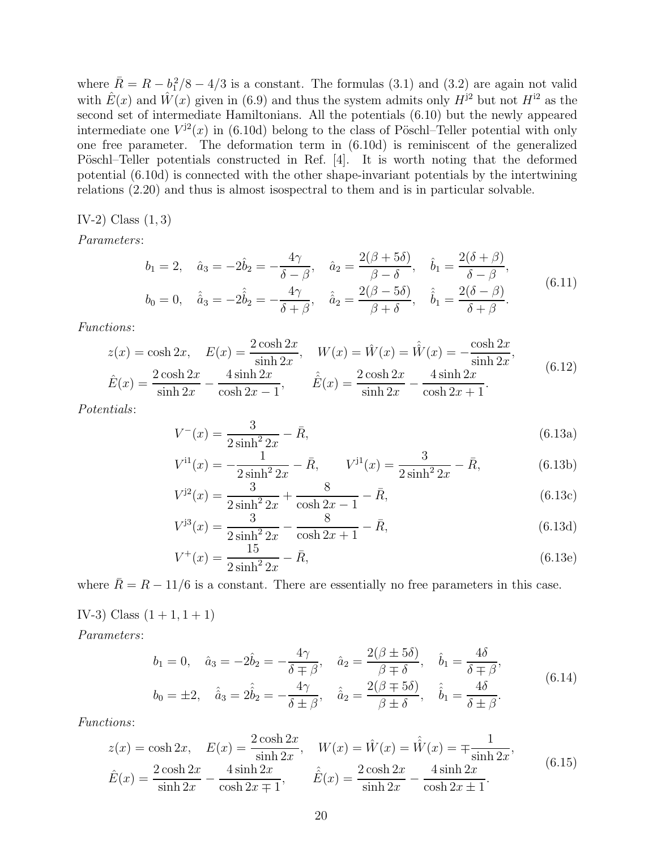where  $\overline{R} = R - \frac{b_1^2}{8} - \frac{4}{3}$  is a constant. The formulas (3.1) and (3.2) are again not valid with  $\hat{E}(x)$  and  $\hat{W}(x)$  given in (6.9) and thus the system admits only  $H^{j2}$  but not  $H^{i2}$  as the second set of intermediate Hamiltonians. All the potentials (6.10) but the newly appeared intermediate one  $V^{j2}(x)$  in (6.10d) belong to the class of Pöschl–Teller potential with only one free parameter. The deformation term in (6.10d) is reminiscent of the generalized Pöschl–Teller potentials constructed in Ref. [4]. It is worth noting that the deformed potential (6.10d) is connected with the other shape-invariant potentials by the intertwining relations (2.20) and thus is almost isospectral to them and is in particular solvable.

# IV-2) Class  $(1, 3)$

Parameters:

$$
b_1 = 2, \quad \hat{a}_3 = -2\hat{b}_2 = -\frac{4\gamma}{\delta - \beta}, \quad \hat{a}_2 = \frac{2(\beta + 5\delta)}{\beta - \delta}, \quad \hat{b}_1 = \frac{2(\delta + \beta)}{\delta - \beta},
$$
  
\n
$$
b_0 = 0, \quad \hat{\hat{a}}_3 = -2\hat{b}_2 = -\frac{4\gamma}{\delta + \beta}, \quad \hat{\hat{a}}_2 = \frac{2(\beta - 5\delta)}{\beta + \delta}, \quad \hat{\hat{b}}_1 = \frac{2(\delta - \beta)}{\delta + \beta}.
$$
\n(6.11)

Functions:

$$
z(x) = \cosh 2x, \quad E(x) = \frac{2 \cosh 2x}{\sinh 2x}, \quad W(x) = \hat{W}(x) = \hat{W}(x) = -\frac{\cosh 2x}{\sinh 2x},
$$
  

$$
\hat{E}(x) = \frac{2 \cosh 2x}{\sinh 2x} - \frac{4 \sinh 2x}{\cosh 2x - 1}, \qquad \hat{E}(x) = \frac{2 \cosh 2x}{\sinh 2x} - \frac{4 \sinh 2x}{\cosh 2x + 1}.
$$
(6.12)

Potentials:

$$
V^{-}(x) = \frac{3}{2\sinh^{2} 2x} - \bar{R},
$$
\n(6.13a)

$$
V^{11}(x) = -\frac{1}{2\sinh^2 2x} - \bar{R}, \qquad V^{11}(x) = \frac{3}{2\sinh^2 2x} - \bar{R}, \qquad (6.13b)
$$

$$
V^{j2}(x) = \frac{3}{2\sinh^2 2x} + \frac{8}{\cosh 2x - 1} - \bar{R},\tag{6.13c}
$$

$$
V^{j3}(x) = \frac{3}{2\sinh^2 2x} - \frac{8}{\cosh 2x + 1} - \bar{R},\tag{6.13d}
$$

$$
V^{+}(x) = \frac{15}{2\sinh^{2} 2x} - \bar{R},
$$
\n(6.13e)

where  $\bar{R} = R - 11/6$  is a constant. There are essentially no free parameters in this case.

IV-3) Class  $(1 + 1, 1 + 1)$ 

Parameters:

$$
b_1 = 0, \quad \hat{a}_3 = -2\hat{b}_2 = -\frac{4\gamma}{\delta \mp \beta}, \quad \hat{a}_2 = \frac{2(\beta \pm 5\delta)}{\beta \mp \delta}, \quad \hat{b}_1 = \frac{4\delta}{\delta \mp \beta},
$$
  

$$
b_0 = \pm 2, \quad \hat{\hat{a}}_3 = 2\hat{b}_2 = -\frac{4\gamma}{\delta \pm \beta}, \quad \hat{\hat{a}}_2 = \frac{2(\beta \mp 5\delta)}{\beta \pm \delta}, \quad \hat{\hat{b}}_1 = \frac{4\delta}{\delta \pm \beta}.
$$
  
(6.14)

Functions:

$$
z(x) = \cosh 2x, \quad E(x) = \frac{2 \cosh 2x}{\sinh 2x}, \quad W(x) = \hat{W}(x) = \hat{W}(x) = \mp \frac{1}{\sinh 2x},
$$
  

$$
\hat{E}(x) = \frac{2 \cosh 2x}{\sinh 2x} - \frac{4 \sinh 2x}{\cosh 2x \mp 1}, \qquad \hat{E}(x) = \frac{2 \cosh 2x}{\sinh 2x} - \frac{4 \sinh 2x}{\cosh 2x \pm 1}.
$$
 (6.15)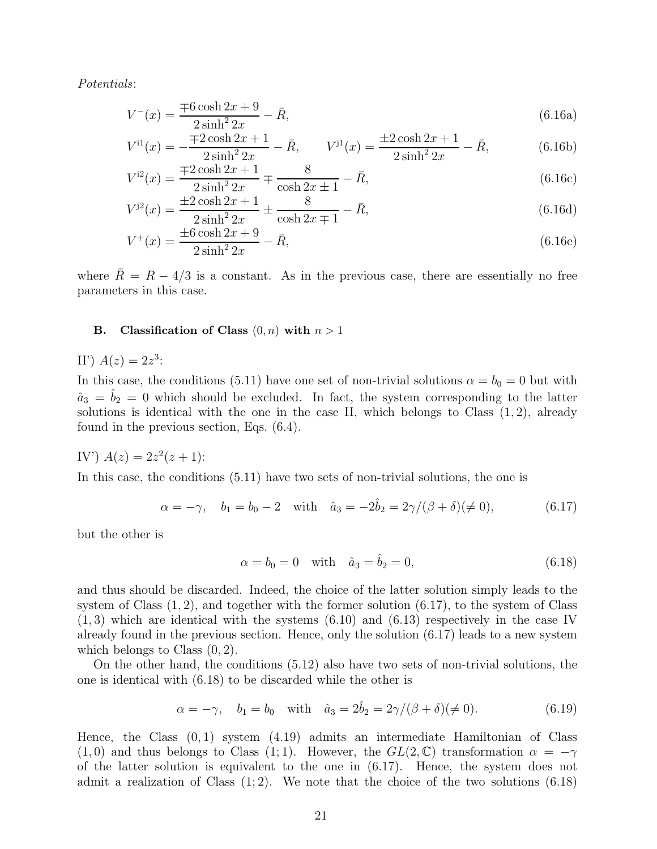Potentials:

$$
V^{-}(x) = \frac{\mp 6 \cosh 2x + 9}{2 \sinh^{2} 2x} - \bar{R},
$$
\n(6.16a)

$$
V^{i1}(x) = -\frac{\pm 2\cosh 2x + 1}{2\sinh^2 2x} - \bar{R}, \qquad V^{j1}(x) = \frac{\pm 2\cosh 2x + 1}{2\sinh^2 2x} - \bar{R}, \tag{6.16b}
$$

$$
V^{i2}(x) = \frac{\pm 2\cosh 2x + 1}{2\sinh^2 2x} \pm \frac{8}{\cosh 2x \pm 1} - \bar{R},
$$
\n(6.16c)

$$
V^{j2}(x) = \frac{\pm 2\cosh 2x + 1}{2\sinh^2 2x} \pm \frac{8}{\cosh 2x + 1} - \bar{R},\tag{6.16d}
$$

$$
V^{+}(x) = \frac{\pm 6 \cosh 2x + 9}{2 \sinh^{2} 2x} - \bar{R},
$$
\n(6.16e)

where  $\bar{R} = R - 4/3$  is a constant. As in the previous case, there are essentially no free parameters in this case.

## B. Classification of Class  $(0, n)$  with  $n > 1$

II')  $A(z) = 2z^3$ :

In this case, the conditions (5.11) have one set of non-trivial solutions  $\alpha = b_0 = 0$  but with  $\hat{a}_3 = \hat{b}_2 = 0$  which should be excluded. In fact, the system corresponding to the latter solutions is identical with the one in the case II, which belongs to Class  $(1, 2)$ , already found in the previous section, Eqs. (6.4).

IV') 
$$
A(z) = 2z^2(z+1)
$$
:

In this case, the conditions (5.11) have two sets of non-trivial solutions, the one is

$$
\alpha = -\gamma
$$
,  $b_1 = b_0 - 2$  with  $\hat{a}_3 = -2\hat{b}_2 = 2\gamma/(\beta + \delta)(\neq 0)$ , (6.17)

but the other is

$$
\alpha = b_0 = 0
$$
 with  $\hat{a}_3 = \hat{b}_2 = 0$ , (6.18)

and thus should be discarded. Indeed, the choice of the latter solution simply leads to the system of Class  $(1, 2)$ , and together with the former solution  $(6.17)$ , to the system of Class  $(1, 3)$  which are identical with the systems  $(6.10)$  and  $(6.13)$  respectively in the case IV already found in the previous section. Hence, only the solution (6.17) leads to a new system which belongs to Class  $(0, 2)$ .

On the other hand, the conditions (5.12) also have two sets of non-trivial solutions, the one is identical with (6.18) to be discarded while the other is

$$
\alpha = -\gamma
$$
,  $b_1 = b_0$  with  $\hat{a}_3 = 2\hat{b}_2 = 2\gamma/(\beta + \delta)(\neq 0)$ . (6.19)

Hence, the Class  $(0, 1)$  system  $(4.19)$  admits an intermediate Hamiltonian of Class  $(1, 0)$  and thus belongs to Class  $(1, 1)$ . However, the  $GL(2, \mathbb{C})$  transformation  $\alpha = -\gamma$ of the latter solution is equivalent to the one in (6.17). Hence, the system does not admit a realization of Class  $(1, 2)$ . We note that the choice of the two solutions  $(6.18)$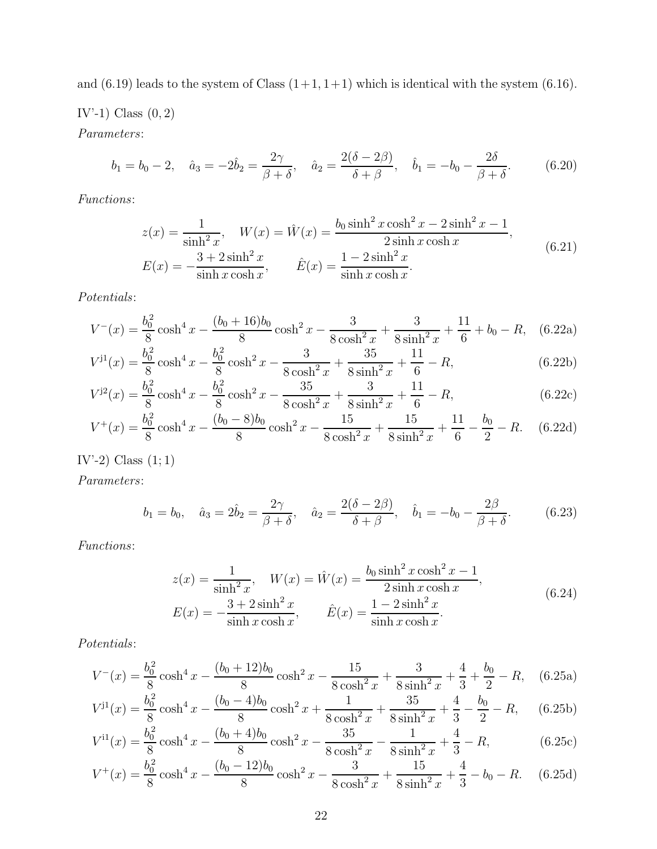and  $(6.19)$  leads to the system of Class  $(1+1, 1+1)$  which is identical with the system  $(6.16)$ .

IV'-1) Class  $(0, 2)$ 

Parameters:

$$
b_1 = b_0 - 2
$$
,  $\hat{a}_3 = -2\hat{b}_2 = \frac{2\gamma}{\beta + \delta}$ ,  $\hat{a}_2 = \frac{2(\delta - 2\beta)}{\delta + \beta}$ ,  $\hat{b}_1 = -b_0 - \frac{2\delta}{\beta + \delta}$ . (6.20)

Functions:

$$
z(x) = \frac{1}{\sinh^2 x}, \quad W(x) = \hat{W}(x) = \frac{b_0 \sinh^2 x \cosh^2 x - 2 \sinh^2 x - 1}{2 \sinh x \cosh x},
$$
  
\n
$$
E(x) = -\frac{3 + 2 \sinh^2 x}{\sinh x \cosh x}, \qquad \hat{E}(x) = \frac{1 - 2 \sinh^2 x}{\sinh x \cosh x}.
$$
\n(6.21)

Potentials:

$$
V^{-}(x) = \frac{b_0^2}{8} \cosh^4 x - \frac{(b_0 + 16)b_0}{8} \cosh^2 x - \frac{3}{8 \cosh^2 x} + \frac{3}{8 \sinh^2 x} + \frac{11}{6} + b_0 - R,\tag{6.22a}
$$

$$
V^{j1}(x) = \frac{b_0^2}{8}\cosh^4 x - \frac{b_0^2}{8}\cosh^2 x - \frac{3}{8\cosh^2 x} + \frac{35}{8\sinh^2 x} + \frac{11}{6} - R,\tag{6.22b}
$$

$$
V^{j2}(x) = \frac{b_0^2}{8}\cosh^4 x - \frac{b_0^2}{8}\cosh^2 x - \frac{35}{8\cosh^2 x} + \frac{3}{8\sinh^2 x} + \frac{11}{6} - R,\tag{6.22c}
$$

$$
V^{+}(x) = \frac{b_0^2}{8}\cosh^4 x - \frac{(b_0 - 8)b_0}{8}\cosh^2 x - \frac{15}{8\cosh^2 x} + \frac{15}{8\sinh^2 x} + \frac{11}{6} - \frac{b_0}{2} - R. \tag{6.22d}
$$

# IV'-2) Class  $(1; 1)$

Parameters:

$$
b_1 = b_0
$$
,  $\hat{a}_3 = 2\hat{b}_2 = \frac{2\gamma}{\beta + \delta}$ ,  $\hat{a}_2 = \frac{2(\delta - 2\beta)}{\delta + \beta}$ ,  $\hat{b}_1 = -b_0 - \frac{2\beta}{\beta + \delta}$ . (6.23)

Functions:

$$
z(x) = \frac{1}{\sinh^2 x}, \quad W(x) = \hat{W}(x) = \frac{b_0 \sinh^2 x \cosh^2 x - 1}{2 \sinh x \cosh x},
$$
  
\n
$$
E(x) = -\frac{3 + 2 \sinh^2 x}{\sinh x \cosh x}, \qquad \hat{E}(x) = \frac{1 - 2 \sinh^2 x}{\sinh x \cosh x}.
$$
\n(6.24)

Potentials:

$$
V^{-}(x) = \frac{b_0^2}{8} \cosh^4 x - \frac{(b_0 + 12)b_0}{8} \cosh^2 x - \frac{15}{8 \cosh^2 x} + \frac{3}{8 \sinh^2 x} + \frac{4}{3} + \frac{b_0}{2} - R,\quad(6.25a)
$$
  
\n
$$
V^{-1}(x) = \frac{b_0^2}{8} \cosh^4 x - \frac{(b_0 - 4)b_0}{8 \cosh^2 x} - \frac{1}{1} + \frac{3}{8 \sinh^2 x} + \frac{4}{3} + \frac{b_0}{2} - R,\quad(6.25a)
$$

$$
V^{j1}(x) = \frac{b_0^2}{8}\cosh^4 x - \frac{(b_0 - 4)b_0}{8}\cosh^2 x + \frac{1}{8\cosh^2 x} + \frac{35}{8\sinh^2 x} + \frac{4}{3} - \frac{b_0}{2} - R,\qquad(6.25b)
$$
  

$$
V^{j1}(x) = \frac{b_0^2}{8}\cosh^4 x - \frac{(b_0 + 4)b_0}{8\cosh^2 x} - \frac{35}{8\sinh^2 x} + \frac{4}{3} - \frac{b_0}{2} - R,\qquad(6.25b)
$$

$$
V^{11}(x) = \frac{b_0^2}{8}\cosh^4 x - \frac{(b_0 + 4)b_0}{8}\cosh^2 x - \frac{35}{8\cosh^2 x} - \frac{1}{8\sinh^2 x} + \frac{4}{3} - R,\tag{6.25c}
$$

$$
V^{+}(x) = \frac{b_0^2}{8}\cosh^4 x - \frac{(b_0 - 12)b_0}{8}\cosh^2 x - \frac{3}{8\cosh^2 x} + \frac{15}{8\sinh^2 x} + \frac{4}{3} - b_0 - R. \tag{6.25d}
$$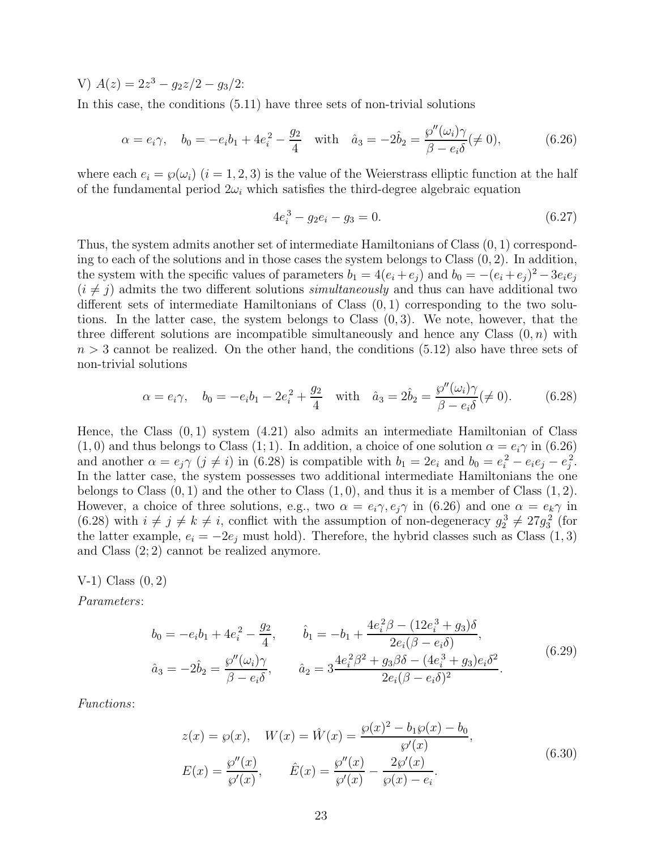V)  $A(z) = 2z^3 - g_2z/2 - g_3/2$ :

In this case, the conditions (5.11) have three sets of non-trivial solutions

$$
\alpha = e_i \gamma
$$
,  $b_0 = -e_i b_1 + 4e_i^2 - \frac{g_2}{4}$  with  $\hat{a}_3 = -2\hat{b}_2 = \frac{\wp''(\omega_i)\gamma}{\beta - e_i \delta} \neq 0$ , (6.26)

where each  $e_i = \wp(\omega_i)$   $(i = 1, 2, 3)$  is the value of the Weierstrass elliptic function at the half of the fundamental period  $2\omega_i$  which satisfies the third-degree algebraic equation

$$
4e_i^3 - g_2e_i - g_3 = 0. \t\t(6.27)
$$

Thus, the system admits another set of intermediate Hamiltonians of Class (0, 1) corresponding to each of the solutions and in those cases the system belongs to Class  $(0, 2)$ . In addition, the system with the specific values of parameters  $b_1 = 4(e_i + e_j)$  and  $b_0 = -(e_i + e_j)^2 - 3e_i e_j$  $(i \neq j)$  admits the two different solutions simultaneously and thus can have additional two different sets of intermediate Hamiltonians of Class (0, 1) corresponding to the two solutions. In the latter case, the system belongs to Class (0, 3). We note, however, that the three different solutions are incompatible simultaneously and hence any Class  $(0, n)$  with  $n > 3$  cannot be realized. On the other hand, the conditions  $(5.12)$  also have three sets of non-trivial solutions

$$
\alpha = e_i \gamma
$$
,  $b_0 = -e_i b_1 - 2e_i^2 + \frac{g_2}{4}$  with  $\hat{a}_3 = 2\hat{b}_2 = \frac{\wp''(\omega_i)\gamma}{\beta - e_i \delta} (\neq 0)$ . (6.28)

Hence, the Class (0, 1) system (4.21) also admits an intermediate Hamiltonian of Class  $(1, 0)$  and thus belongs to Class  $(1, 1)$ . In addition, a choice of one solution  $\alpha = e_i \gamma$  in  $(6.26)$ and another  $\alpha = e_j \gamma$   $(j \neq i)$  in (6.28) is compatible with  $b_1 = 2e_i$  and  $b_0 = e_i^2 - e_i e_j - e_j^2$ . In the latter case, the system possesses two additional intermediate Hamiltonians the one belongs to Class  $(0, 1)$  and the other to Class  $(1, 0)$ , and thus it is a member of Class  $(1, 2)$ . However, a choice of three solutions, e.g., two  $\alpha = e_i \gamma, e_j \gamma$  in (6.26) and one  $\alpha = e_k \gamma$  in  $(6.28)$  with  $i \neq j \neq k \neq i$ , conflict with the assumption of non-degeneracy  $g_2^3 \neq 27g_3^2$  (for the latter example,  $e_i = -2e_j$  must hold). Therefore, the hybrid classes such as Class (1, 3) and Class (2; 2) cannot be realized anymore.

 $V-1$ ) Class  $(0, 2)$ 

Parameters:

$$
b_0 = -e_i b_1 + 4e_i^2 - \frac{g_2}{4}, \qquad \hat{b}_1 = -b_1 + \frac{4e_i^2 \beta - (12e_i^3 + g_3)\delta}{2e_i(\beta - e_i \delta)},
$$
  

$$
\hat{a}_3 = -2\hat{b}_2 = \frac{\wp''(\omega_i)\gamma}{\beta - e_i \delta}, \qquad \hat{a}_2 = 3\frac{4e_i^2 \beta^2 + g_3\beta\delta - (4e_i^3 + g_3)e_i\delta^2}{2e_i(\beta - e_i \delta)^2}.
$$
(6.29)

Functions:

$$
z(x) = \wp(x), \quad W(x) = \hat{W}(x) = \frac{\wp(x)^2 - b_1 \wp(x) - b_0}{\wp'(x)},
$$
  
\n
$$
E(x) = \frac{\wp''(x)}{\wp'(x)}, \qquad \hat{E}(x) = \frac{\wp''(x)}{\wp'(x)} - \frac{2\wp'(x)}{\wp(x) - e_i}.
$$
\n(6.30)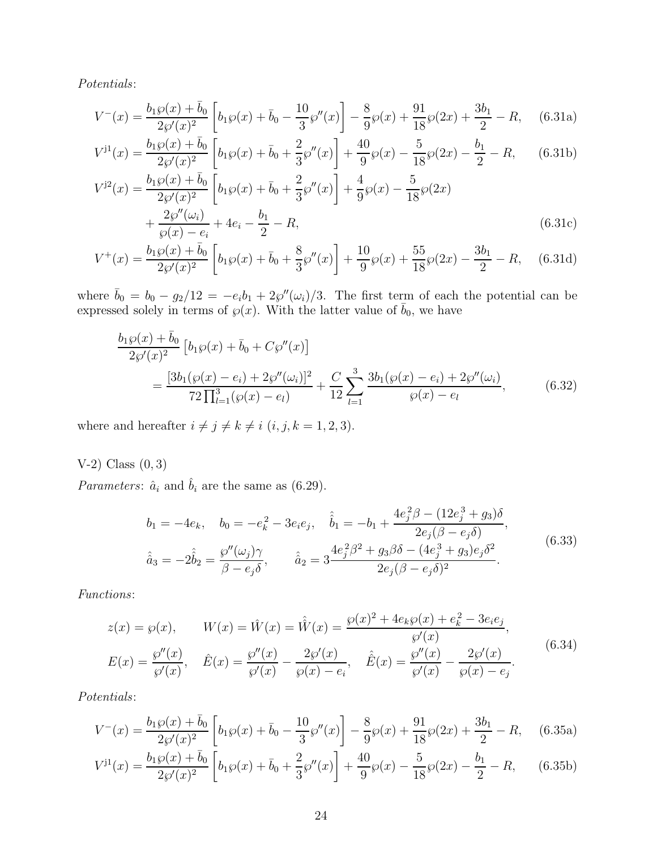Potentials:

$$
V^{-}(x) = \frac{b_1 \wp(x) + \bar{b}_0}{2\wp'(x)^2} \left[ b_1 \wp(x) + \bar{b}_0 - \frac{10}{3} \wp''(x) \right] - \frac{8}{9} \wp(x) + \frac{91}{18} \wp(2x) + \frac{3b_1}{2} - R,\tag{6.31a}
$$

$$
V^{j1}(x) = \frac{b_1 \wp(x) + \bar{b}_0}{2\wp'(x)^2} \left[ b_1 \wp(x) + \bar{b}_0 + \frac{2}{3} \wp''(x) \right] + \frac{40}{9} \wp(x) - \frac{5}{18} \wp(2x) - \frac{b_1}{2} - R,\tag{6.31b}
$$

$$
V^{j2}(x) = \frac{b_1 \wp(x) + \bar{b}_0}{2\wp'(x)^2} \left[ b_1 \wp(x) + \bar{b}_0 + \frac{2}{3} \wp''(x) \right] + \frac{4}{9} \wp(x) - \frac{5}{18} \wp(2x) + \frac{2\wp''(\omega_i)}{\wp(x) - e_i} + 4e_i - \frac{b_1}{2} - R,
$$
(6.31c)

$$
V^{+}(x) = \frac{b_1 \wp(x) + \bar{b}_0}{2\wp'(x)^2} \left[ b_1 \wp(x) + \bar{b}_0 + \frac{8}{3} \wp''(x) \right] + \frac{10}{9} \wp(x) + \frac{55}{18} \wp(2x) - \frac{3b_1}{2} - R, \quad (6.31d)
$$

where  $\bar{b}_0 = b_0 - g_2/12 = -e_i b_1 + 2\wp''(\omega_i)/3$ . The first term of each the potential can be expressed solely in terms of  $\varphi(x)$ . With the latter value of  $\bar{b}_0$ , we have

$$
\frac{b_1 \wp(x) + \bar{b}_0}{2\wp'(x)^2} \left[ b_1 \wp(x) + \bar{b}_0 + C\wp''(x) \right]
$$
\n
$$
= \frac{[3b_1(\wp(x) - e_i) + 2\wp''(\omega_i)]^2}{72 \prod_{l=1}^3 (\wp(x) - e_l)} + \frac{C}{12} \sum_{l=1}^3 \frac{3b_1(\wp(x) - e_i) + 2\wp''(\omega_i)}{\wp(x) - e_l},
$$
\n(6.32)

where and hereafter  $i\neq j\neq k\neq i$   $(i,j,k = 1,2,3).$ 

 $V-2)$  Class  $(0, 3)$ 

*Parameters:*  $\hat{a}_i$  and  $\hat{b}_i$  are the same as (6.29).

$$
b_1 = -4e_k, \quad b_0 = -e_k^2 - 3e_i e_j, \quad \hat{b}_1 = -b_1 + \frac{4e_j^2 \beta - (12e_j^3 + g_3)\delta}{2e_j(\beta - e_j \delta)},
$$

$$
\hat{a}_3 = -2\hat{b}_2 = \frac{\wp''(\omega_j)\gamma}{\beta - e_j \delta}, \qquad \hat{a}_2 = 3\frac{4e_j^2 \beta^2 + g_3\beta\delta - (4e_j^3 + g_3)e_j\delta^2}{2e_j(\beta - e_j \delta)^2}.
$$
(6.33)

Functions:

$$
z(x) = \wp(x), \qquad W(x) = \hat{W}(x) = \hat{W}(x) = \frac{\wp(x)^2 + 4e_k\wp(x) + e_k^2 - 3e_ie_j}{\wp'(x)},
$$
  

$$
E(x) = \frac{\wp''(x)}{\wp'(x)}, \quad \hat{E}(x) = \frac{\wp''(x)}{\wp'(x)} - \frac{2\wp'(x)}{\wp(x) - e_i}, \quad \hat{E}(x) = \frac{\wp''(x)}{\wp'(x)} - \frac{2\wp'(x)}{\wp(x) - e_j}.
$$
(6.34)

Potentials:

$$
V^{-}(x) = \frac{b_1 \wp(x) + \bar{b}_0}{2\wp'(x)^2} \left[ b_1 \wp(x) + \bar{b}_0 - \frac{10}{3} \wp''(x) \right] - \frac{8}{9} \wp(x) + \frac{91}{18} \wp(2x) + \frac{3b_1}{2} - R,\tag{6.35a}
$$

$$
V^{j1}(x) = \frac{b_1 \wp(x) + \bar{b}_0}{2\wp'(x)^2} \left[ b_1 \wp(x) + \bar{b}_0 + \frac{2}{3} \wp''(x) \right] + \frac{40}{9} \wp(x) - \frac{5}{18} \wp(2x) - \frac{b_1}{2} - R,\tag{6.35b}
$$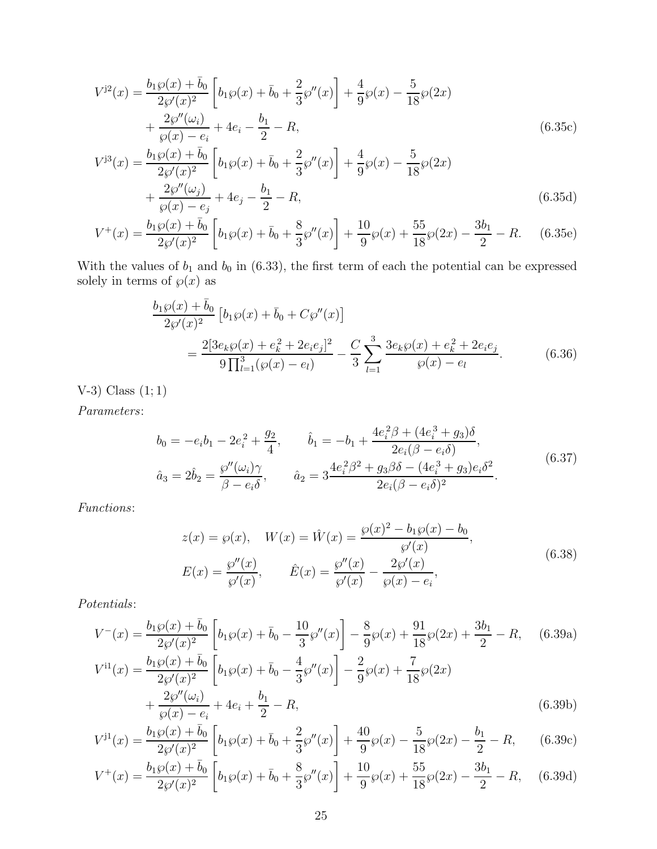$$
V^{j2}(x) = \frac{b_1 \wp(x) + \bar{b}_0}{2\wp'(x)^2} \left[ b_1 \wp(x) + \bar{b}_0 + \frac{2}{3} \wp''(x) \right] + \frac{4}{9} \wp(x) - \frac{5}{18} \wp(2x)
$$
  
+ 
$$
\frac{2\wp''(\omega_i)}{\wp(x) - e_i} + 4e_i - \frac{b_1}{2} - R,
$$
  

$$
V^{j3}(x) = \frac{b_1 \wp(x) + \bar{b}_0}{2\wp'(x)^2} \left[ b_1 \wp(x) + \bar{b}_0 + \frac{2}{3} \wp''(x) \right] + \frac{4}{9} \wp(x) - \frac{5}{18} \wp(2x)
$$
  
+ 
$$
\frac{2\wp''(\omega_j)}{\wp(x) - e_j} + 4e_j - \frac{b_1}{2} - R,
$$
 (6.35d)

$$
V^{+}(x) = \frac{b_1 \wp(x) + \bar{b}_0}{2\wp'(x)^2} \left[ b_1 \wp(x) + \bar{b}_0 + \frac{8}{3} \wp''(x) \right] + \frac{10}{9} \wp(x) + \frac{55}{18} \wp(2x) - \frac{3b_1}{2} - R. \tag{6.35e}
$$

With the values of  $b_1$  and  $b_0$  in (6.33), the first term of each the potential can be expressed solely in terms of  $\wp(x)$  as

$$
\frac{b_1 \wp(x) + \bar{b}_0}{2\wp'(x)^2} \left[ b_1 \wp(x) + \bar{b}_0 + C\wp''(x) \right]
$$
\n
$$
= \frac{2[3e_k \wp(x) + e_k^2 + 2e_i e_j]^2}{9\prod_{l=1}^3 (\wp(x) - e_l)} - \frac{C}{3} \sum_{l=1}^3 \frac{3e_k \wp(x) + e_k^2 + 2e_i e_j}{\wp(x) - e_l}.
$$
\n(6.36)

V-3) Class (1; 1)

Parameters:

$$
b_0 = -e_i b_1 - 2e_i^2 + \frac{g_2}{4}, \qquad \hat{b}_1 = -b_1 + \frac{4e_i^2 \beta + (4e_i^3 + g_3)\delta}{2e_i(\beta - e_i \delta)},
$$
  

$$
\hat{a}_3 = 2\hat{b}_2 = \frac{\wp''(\omega_i)\gamma}{\beta - e_i \delta}, \qquad \hat{a}_2 = 3\frac{4e_i^2 \beta^2 + g_3\beta\delta - (4e_i^3 + g_3)e_i\delta^2}{2e_i(\beta - e_i \delta)^2}.
$$
(6.37)

Functions:

$$
z(x) = \wp(x), \quad W(x) = \hat{W}(x) = \frac{\wp(x)^2 - b_1 \wp(x) - b_0}{\wp'(x)},
$$
  
\n
$$
E(x) = \frac{\wp''(x)}{\wp'(x)}, \qquad \hat{E}(x) = \frac{\wp''(x)}{\wp'(x)} - \frac{2\wp'(x)}{\wp(x) - e_i},
$$
\n(6.38)

Potentials:

$$
V^{-}(x) = \frac{b_1 \wp(x) + \bar{b}_0}{2\wp'(x)^2} \left[ b_1 \wp(x) + \bar{b}_0 - \frac{10}{3} \wp''(x) \right] - \frac{8}{9} \wp(x) + \frac{91}{18} \wp(2x) + \frac{3b_1}{2} - R, \quad (6.39a)
$$
  
\n
$$
V^{i1}(x) = \frac{b_1 \wp(x) + \bar{b}_0}{2\wp'(x)^2} \left[ b_1 \wp(x) + \bar{b}_0 - \frac{4}{3} \wp''(x) \right] - \frac{2}{9} \wp(x) + \frac{7}{18} \wp(2x)
$$
  
\n
$$
+ \frac{2\wp''(\omega_i)}{\wp(x) - e_i} + 4e_i + \frac{b_1}{2} - R,
$$
  
\n
$$
(6.39b)
$$

$$
V^{j1}(x) = \frac{b_1 \wp(x) + \bar{b}_0}{2\wp'(x)^2} \left[ b_1 \wp(x) + \bar{b}_0 + \frac{2}{3} \wp''(x) \right] + \frac{40}{9} \wp(x) - \frac{5}{18} \wp(2x) - \frac{b_1}{2} - R,\tag{6.39c}
$$

$$
V^{+}(x) = \frac{b_1 \wp(x) + \bar{b}_0}{2\wp'(x)^2} \left[ b_1 \wp(x) + \bar{b}_0 + \frac{8}{3} \wp''(x) \right] + \frac{10}{9} \wp(x) + \frac{55}{18} \wp(2x) - \frac{3b_1}{2} - R, \quad (6.39d)
$$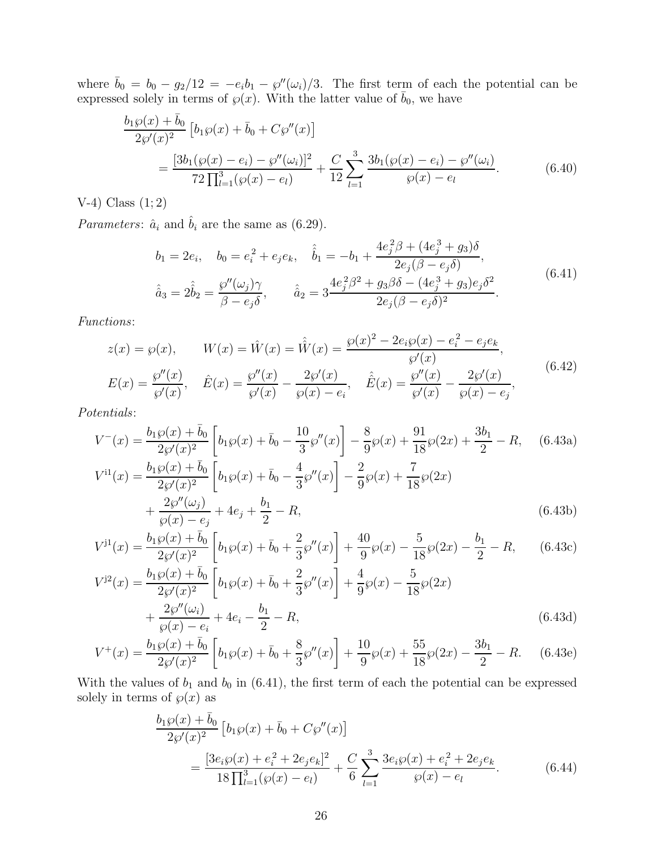where  $\bar{b}_0 = b_0 - g_2/12 = -e_i b_1 - g''(\omega_i)/3$ . The first term of each the potential can be expressed solely in terms of  $\wp(x)$ . With the latter value of  $\bar{b}_0$ , we have

$$
\frac{b_1 \wp(x) + \bar{b}_0}{2\wp'(x)^2} \left[ b_1 \wp(x) + \bar{b}_0 + C\wp''(x) \right]
$$
\n
$$
= \frac{[3b_1(\wp(x) - e_i) - \wp''(\omega_i)]^2}{72 \prod_{l=1}^3 (\wp(x) - e_l)} + \frac{C}{12} \sum_{l=1}^3 \frac{3b_1(\wp(x) - e_i) - \wp''(\omega_i)}{\wp(x) - e_l}.
$$
\n(6.40)

 $V-4)$  Class  $(1; 2)$ 

*Parameters:*  $\hat{a}_i$  and  $\hat{b}_i$  are the same as (6.29).

$$
b_1 = 2e_i, \quad b_0 = e_i^2 + e_j e_k, \quad \hat{b}_1 = -b_1 + \frac{4e_j^2 \beta + (4e_j^3 + g_3)\delta}{2e_j(\beta - e_j \delta)},
$$

$$
\hat{a}_3 = 2\hat{b}_2 = \frac{\wp''(\omega_j)\gamma}{\beta - e_j \delta}, \qquad \hat{a}_2 = 3\frac{4e_j^2 \beta^2 + g_3\beta\delta - (4e_j^3 + g_3)e_j\delta^2}{2e_j(\beta - e_j \delta)^2}.
$$
(6.41)

Functions:

$$
z(x) = \wp(x), \qquad W(x) = \hat{W}(x) = \hat{\hat{W}}(x) = \frac{\wp(x)^2 - 2e_i\wp(x) - e_i^2 - e_j e_k}{\wp'(x)},
$$
  

$$
E(x) = \frac{\wp''(x)}{\wp'(x)}, \quad \hat{E}(x) = \frac{\wp''(x)}{\wp'(x)} - \frac{2\wp'(x)}{\wp(x) - e_i}, \quad \hat{E}(x) = \frac{\wp''(x)}{\wp'(x)} - \frac{2\wp'(x)}{\wp(x) - e_j},
$$
(6.42)

Potentials:

$$
V^{-}(x) = \frac{b_1 \wp(x) + \bar{b}_0}{2\wp'(x)^2} \left[ b_1 \wp(x) + \bar{b}_0 - \frac{10}{3} \wp''(x) \right] - \frac{8}{9} \wp(x) + \frac{91}{18} \wp(2x) + \frac{3b_1}{2} - R, \quad (6.43a)
$$
  
\n
$$
V^{i1}(x) = \frac{b_1 \wp(x) + \bar{b}_0}{2\wp'(x)^2} \left[ b_1 \wp(x) + \bar{b}_0 - \frac{4}{3} \wp''(x) \right] - \frac{2}{9} \wp(x) + \frac{7}{18} \wp(2x)
$$
  
\n
$$
+ \frac{2\wp''(\omega_j)}{\wp(x) - e_j} + 4e_j + \frac{b_1}{2} - R,
$$
  
\n
$$
(6.43b)
$$

$$
V^{j1}(x) = \frac{b_1 \wp(x) + \bar{b}_0}{2\wp'(x)^2} \left[ b_1 \wp(x) + \bar{b}_0 + \frac{2}{3} \wp''(x) \right] + \frac{40}{9} \wp(x) - \frac{5}{18} \wp(2x) - \frac{b_1}{2} - R,\qquad(6.43c)
$$
  

$$
V^{j2}(x) = \frac{b_1 \wp(x) + \bar{b}_0}{2\wp'(x)^2} \left[ b_1 \wp(x) + \bar{b}_0 + \frac{2}{3} \wp''(x) \right] + \frac{4}{9} \wp(x) - \frac{5}{18} \wp(2x)
$$

$$
= \frac{2\wp'(x)}{2\wp'(x)^2} \left[ b_1 \wp(x) + b_0 + \frac{1}{3} \wp''(x) \right] + \frac{1}{9} \wp(x) - \frac{1}{18} \wp(2x) + \frac{2\wp''(\omega_i)}{\wp(x) - e_i} + 4e_i - \frac{b_1}{2} - R,
$$
(6.43d)

$$
V^{+}(x) = \frac{b_1 \wp(x) + \bar{b}_0}{2\wp'(x)^2} \left[ b_1 \wp(x) + \bar{b}_0 + \frac{8}{3} \wp''(x) \right] + \frac{10}{9} \wp(x) + \frac{55}{18} \wp(2x) - \frac{3b_1}{2} - R. \tag{6.43e}
$$

With the values of  $b_1$  and  $b_0$  in (6.41), the first term of each the potential can be expressed solely in terms of  $\wp(x)$  as

$$
\frac{b_1\wp(x) + \bar{b}_0}{2\wp'(x)^2} \left[ b_1\wp(x) + \bar{b}_0 + C\wp''(x) \right]
$$
\n
$$
= \frac{[3e_i\wp(x) + e_i^2 + 2e_je_k]^2}{18\prod_{l=1}^3(\wp(x) - e_l)} + \frac{C}{6} \sum_{l=1}^3 \frac{3e_i\wp(x) + e_i^2 + 2e_je_k}{\wp(x) - e_l}.
$$
\n(6.44)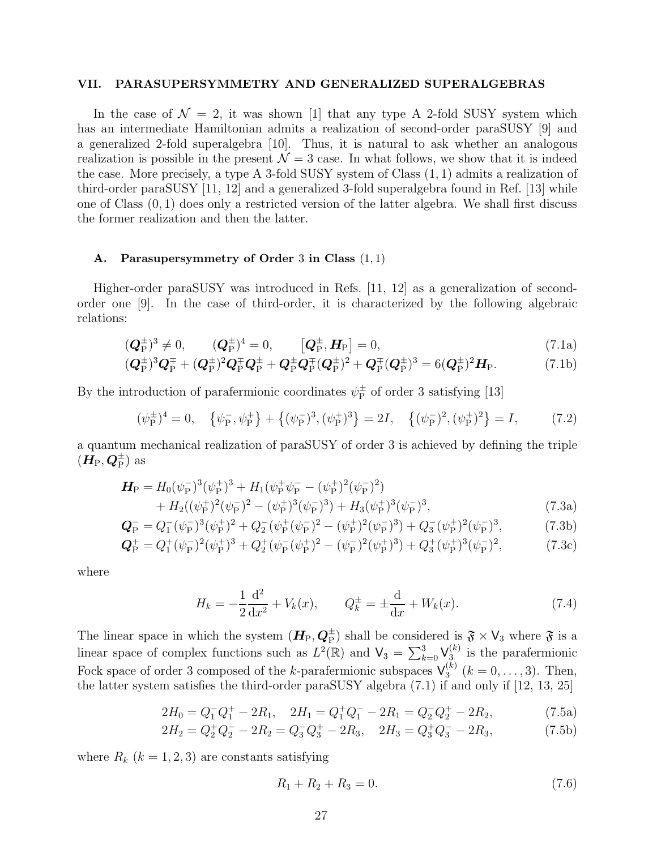#### VII. PARASUPERSYMMETRY AND GENERALIZED SUPERALGEBRAS

In the case of  $\mathcal{N} = 2$ , it was shown [1] that any type A 2-fold SUSY system which has an intermediate Hamiltonian admits a realization of second-order paraSUSY [9] and a generalized 2-fold superalgebra [10]. Thus, it is natural to ask whether an analogous realization is possible in the present  $\mathcal{N} = 3$  case. In what follows, we show that it is indeed the case. More precisely, a type A 3-fold SUSY system of Class (1, 1) admits a realization of third-order paraSUSY [11, 12] and a generalized 3-fold superalgebra found in Ref. [13] while one of Class (0, 1) does only a restricted version of the latter algebra. We shall first discuss the former realization and then the latter.

# A. Parasupersymmetry of Order 3 in Class (1, 1)

Higher-order paraSUSY was introduced in Refs. [11, 12] as a generalization of secondorder one [9]. In the case of third-order, it is characterized by the following algebraic relations:

$$
(\mathbf{Q}_{\mathrm{P}}^{\pm})^3 \neq 0
$$
,  $(\mathbf{Q}_{\mathrm{P}}^{\pm})^4 = 0$ ,  $[\mathbf{Q}_{\mathrm{P}}^{\pm}, \mathbf{H}_{\mathrm{P}}] = 0$ ,  $(7.1a)$ 

$$
(Q_P^{\pm})^3 Q_P^{\mp} + (Q_P^{\pm})^2 Q_P^{\mp} Q_P^{\pm} + Q_P^{\pm} Q_P^{\mp} (Q_P^{\pm})^2 + Q_P^{\mp} (Q_P^{\pm})^3 = 6(Q_P^{\pm})^2 H_P.
$$
 (7.1b)

By the introduction of parafermionic coordinates  $\psi_{\rm p}^{\pm}$  $_{\rm P}^{\pm}$  of order 3 satisfying [13]

$$
(\psi_{\mathcal{P}}^{\pm})^4 = 0, \quad \{\psi_{\mathcal{P}}^-, \psi_{\mathcal{P}}^+\} + \{(\psi_{\mathcal{P}}^-)^3, (\psi_{\mathcal{P}}^+)^3\} = 2I, \quad \{(\psi_{\mathcal{P}}^-)^2, (\psi_{\mathcal{P}}^+)^2\} = I,\tag{7.2}
$$

a quantum mechanical realization of paraSUSY of order 3 is achieved by defining the triple  $(\boldsymbol{H}_{\text{P}},\boldsymbol{Q}_{\text{P}}^{\pm})$  as

$$
\begin{split} \mathbf{H}_{\rm P} &= H_0(\psi_{\rm P}^{-})^3(\psi_{\rm P}^{+})^3 + H_1(\psi_{\rm P}^{+}\psi_{\rm P}^{-} - (\psi_{\rm P}^{+})^2(\psi_{\rm P}^{-})^2) \\ &+ H_2((\psi_{\rm P}^{+})^2(\psi_{\rm P}^{-})^2 - (\psi_{\rm P}^{+})^3(\psi_{\rm P}^{-})^3) + H_3(\psi_{\rm P}^{+})^3(\psi_{\rm P}^{-})^3, \end{split} \tag{7.3a}
$$

$$
\mathbf{Q}_{\rm P}^{-} = Q_1^{-}(\psi_{\rm P}^{-})^3(\psi_{\rm P}^{+})^2 + Q_2^{-}(\psi_{\rm P}^{+}(\psi_{\rm P}^{-})^2 - (\psi_{\rm P}^{+})^2(\psi_{\rm P}^{-})^3) + Q_3^{-}(\psi_{\rm P}^{+})^2(\psi_{\rm P}^{-})^3, \tag{7.3b}
$$

$$
\mathbf{Q}_{\rm P}^+ = Q_1^+ (\psi_{\rm P}^-)^2 (\psi_{\rm P}^+)^3 + Q_2^+ (\psi_{\rm P}^- (\psi_{\rm P}^+)^2 - (\psi_{\rm P}^-)^2 (\psi_{\rm P}^+)^3) + Q_3^+ (\psi_{\rm P}^+)^3 (\psi_{\rm P}^-)^2, \tag{7.3c}
$$

where

$$
H_k = -\frac{1}{2}\frac{d^2}{dx^2} + V_k(x), \qquad Q_k^{\pm} = \pm \frac{d}{dx} + W_k(x). \tag{7.4}
$$

The linear space in which the system  $(H_P, Q_P^{\pm})$  shall be considered is  $\mathfrak{F} \times V_3$  where  $\mathfrak{F}$  is a linear space of complex functions such as  $L^2(\mathbb{R})$  and  $\mathsf{V}_3 = \sum_{k=0}^3 \mathsf{V}_{3}^{(k)}$  $\binom{k}{3}$  is the parafermionic Fock space of order 3 composed of the k-parafermionic subspaces  $\mathsf{V}_3^{(k)}$  $j_3^{(k)}$   $(k = 0, \ldots, 3)$ . Then, the latter system satisfies the third-order paraSUSY algebra (7.1) if and only if [12, 13, 25]

$$
2H_0 = Q_1^- Q_1^+ - 2R_1, \quad 2H_1 = Q_1^+ Q_1^- - 2R_1 = Q_2^- Q_2^+ - 2R_2,\tag{7.5a}
$$

$$
2H_2 = Q_2^+ Q_2^- - 2R_2 = Q_3^- Q_3^+ - 2R_3, \quad 2H_3 = Q_3^+ Q_3^- - 2R_3,\tag{7.5b}
$$

where  $R_k$   $(k = 1, 2, 3)$  are constants satisfying

$$
R_1 + R_2 + R_3 = 0.\t\t(7.6)
$$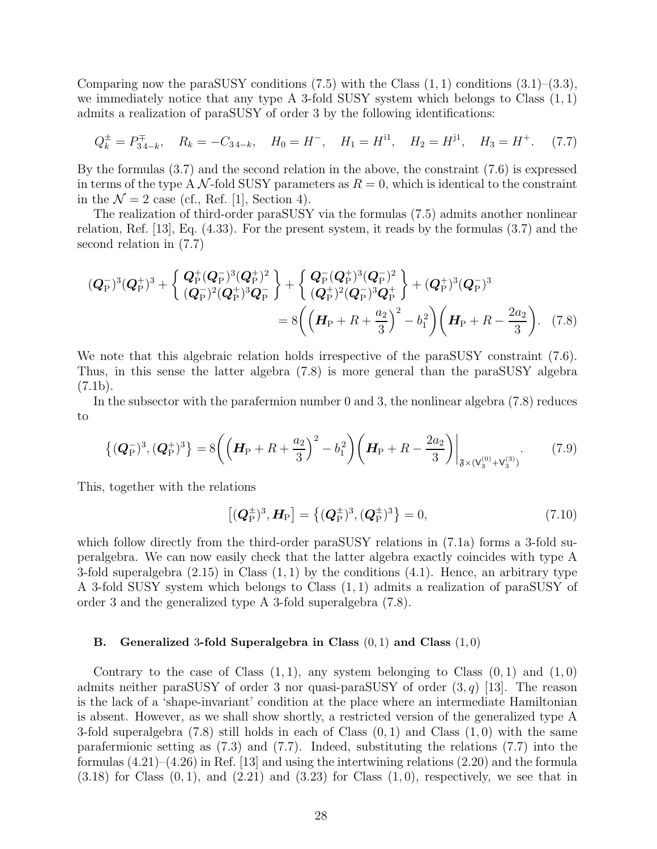Comparing now the paraSUSY conditions  $(7.5)$  with the Class  $(1, 1)$  conditions  $(3.1)$ – $(3.3)$ , we immediately notice that any type A 3-fold SUSY system which belongs to Class  $(1, 1)$ admits a realization of paraSUSY of order 3 by the following identifications:

$$
Q_k^{\pm} = P_{34-k}^{\mp}
$$
,  $R_k = -C_{34-k}$ ,  $H_0 = H^-$ ,  $H_1 = H^{11}$ ,  $H_2 = H^{j1}$ ,  $H_3 = H^+$ . (7.7)

By the formulas (3.7) and the second relation in the above, the constraint (7.6) is expressed in terms of the type A N-fold SUSY parameters as  $R = 0$ , which is identical to the constraint in the  $\mathcal{N}=2$  case (cf., Ref. [1], Section 4).

The realization of third-order paraSUSY via the formulas (7.5) admits another nonlinear relation, Ref. [13], Eq. (4.33). For the present system, it reads by the formulas (3.7) and the second relation in (7.7)

$$
(Q_{\rm P}^{-})^3 (Q_{\rm P}^{+})^3 + \begin{Bmatrix} Q_{\rm P}^{+} (Q_{\rm P}^{-})^3 (Q_{\rm P}^{+})^2 \\ (Q_{\rm P}^{-})^2 (Q_{\rm P}^{+})^3 Q_{\rm P}^{-} \end{Bmatrix} + \begin{Bmatrix} Q_{\rm P}^{-} (Q_{\rm P}^{+})^3 (Q_{\rm P}^{-})^2 \\ (Q_{\rm P}^{+})^2 (Q_{\rm P}^{-})^3 Q_{\rm P}^{+} \end{Bmatrix} + (Q_{\rm P}^{+})^3 (Q_{\rm P}^{-})^3
$$
  
=  $8 \left( \left( H_{\rm P} + R + \frac{a_2}{3} \right)^2 - b_1^2 \right) \left( H_{\rm P} + R - \frac{2a_2}{3} \right).$  (7.8)

We note that this algebraic relation holds irrespective of the paraSUSY constraint  $(7.6)$ . Thus, in this sense the latter algebra (7.8) is more general than the paraSUSY algebra  $(7.1b).$ 

In the subsector with the parafermion number 0 and 3, the nonlinear algebra (7.8) reduces to

$$
\left\{ (\mathbf{Q}_{\mathrm{P}}^{-})^3, (\mathbf{Q}_{\mathrm{P}}^{+})^3 \right\} = 8 \left( \left( \mathbf{H}_{\mathrm{P}} + R + \frac{a_2}{3} \right)^2 - b_1^2 \right) \left( \mathbf{H}_{\mathrm{P}} + R - \frac{2a_2}{3} \right) \Big|_{\mathfrak{F} \times (\mathsf{V}_3^{(0)} + \mathsf{V}_3^{(3)})}. \tag{7.9}
$$

This, together with the relations

$$
[(\mathbf{Q}_{\mathrm{P}}^{\pm})^3, \mathbf{H}_{\mathrm{P}}] = \{(\mathbf{Q}_{\mathrm{P}}^{\pm})^3, (\mathbf{Q}_{\mathrm{P}}^{\pm})^3\} = 0,\tag{7.10}
$$

which follow directly from the third-order paraSUSY relations in  $(7.1a)$  forms a 3-fold superalgebra. We can now easily check that the latter algebra exactly coincides with type A 3-fold superalgebra  $(2.15)$  in Class  $(1, 1)$  by the conditions  $(4.1)$ . Hence, an arbitrary type A 3-fold SUSY system which belongs to Class (1, 1) admits a realization of paraSUSY of order 3 and the generalized type A 3-fold superalgebra (7.8).

# B. Generalized 3-fold Superalgebra in Class  $(0, 1)$  and Class  $(1, 0)$

Contrary to the case of Class  $(1, 1)$ , any system belonging to Class  $(0, 1)$  and  $(1, 0)$ admits neither paraSUSY of order 3 nor quasi-paraSUSY of order  $(3, q)$  [13]. The reason is the lack of a 'shape-invariant' condition at the place where an intermediate Hamiltonian is absent. However, as we shall show shortly, a restricted version of the generalized type A 3-fold superalgebra  $(7.8)$  still holds in each of Class  $(0, 1)$  and Class  $(1, 0)$  with the same parafermionic setting as (7.3) and (7.7). Indeed, substituting the relations (7.7) into the formulas  $(4.21)$ – $(4.26)$  in Ref. [13] and using the intertwining relations  $(2.20)$  and the formula  $(3.18)$  for Class  $(0, 1)$ , and  $(2.21)$  and  $(3.23)$  for Class  $(1, 0)$ , respectively, we see that in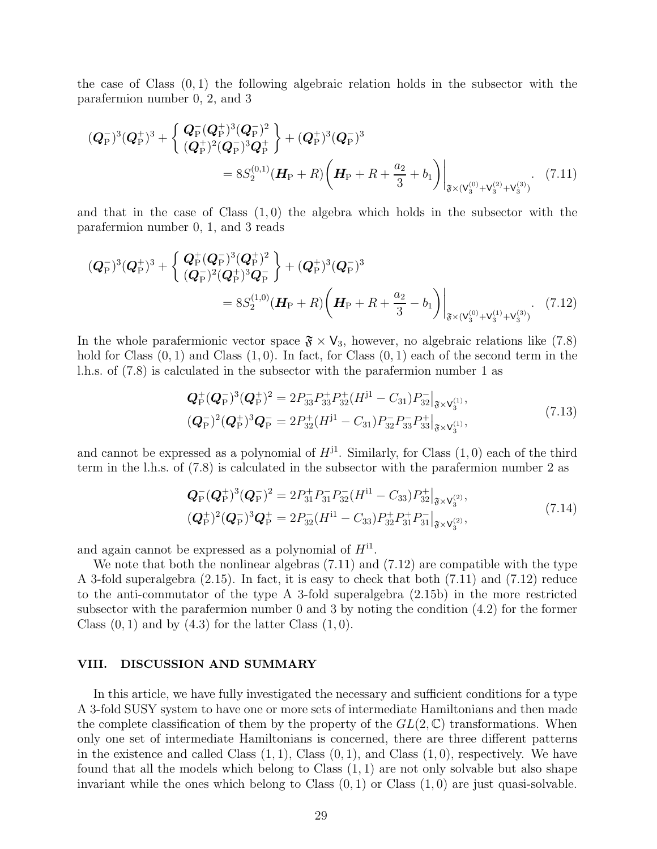the case of Class  $(0, 1)$  the following algebraic relation holds in the subsector with the parafermion number 0, 2, and 3

$$
(Q_{\rm P}^{-})^3 (Q_{\rm P}^{+})^3 + \left\{ \frac{Q_{\rm P}^{-} (Q_{\rm P}^{+})^3 (Q_{\rm P}^{-})^2}{(Q_{\rm P}^{+})^2 (Q_{\rm P}^{-})^3 Q_{\rm P}^{+}} \right\} + (Q_{\rm P}^{+})^3 (Q_{\rm P}^{-})^3
$$
  
=  $8S_2^{(0,1)} (H_{\rm P} + R) \left( H_{\rm P} + R + \frac{a_2}{3} + b_1 \right) \Big|_{\mathfrak{F} \times (V_3^{(0)} + V_3^{(2)} + V_3^{(3)})}.$  (7.11)

and that in the case of Class  $(1,0)$  the algebra which holds in the subsector with the parafermion number 0, 1, and 3 reads

$$
(Q_{\rm P}^{-})^3 (Q_{\rm P}^{+})^3 + \left\{ \frac{Q_{\rm P}^{+}(Q_{\rm P}^{-})^3 (Q_{\rm P}^{+})^2}{(Q_{\rm P}^{-})^2 (Q_{\rm P}^{+})^3 Q_{\rm P}^{-}} \right\} + (Q_{\rm P}^{+})^3 (Q_{\rm P}^{-})^3
$$
  
=  $8S_2^{(1,0)} (H_{\rm P} + R) \left( H_{\rm P} + R + \frac{a_2}{3} - b_1 \right) \Big|_{\mathfrak{F} \times (V_3^{(0)} + V_3^{(1)} + V_3^{(3)})}$ . (7.12)

In the whole parafermionic vector space  $\mathfrak{F} \times V_3$ , however, no algebraic relations like (7.8) hold for Class  $(0, 1)$  and Class  $(1, 0)$ . In fact, for Class  $(0, 1)$  each of the second term in the l.h.s. of (7.8) is calculated in the subsector with the parafermion number 1 as

$$
\begin{aligned} \mathbf{Q}_{\rm P}^+(\mathbf{Q}_{\rm P}^-)^3(\mathbf{Q}_{\rm P}^+)^2 &= 2P_{33}^-P_{33}^+P_{33}^+(H^{j1} - C_{31})P_{32}^-|_{\mathfrak{F} \times \mathsf{V}_3^{(1)}}, \\ (\mathbf{Q}_{\rm P}^-)^2(\mathbf{Q}_{\rm P}^+)^3\mathbf{Q}_{\rm P}^- &= 2P_{32}^+(H^{j1} - C_{31})P_{32}^-P_{33}^-P_{33}^+|_{\mathfrak{F} \times \mathsf{V}_3^{(1)}}, \end{aligned} \tag{7.13}
$$

and cannot be expressed as a polynomial of  $H^{j1}$ . Similarly, for Class  $(1,0)$  each of the third term in the l.h.s. of (7.8) is calculated in the subsector with the parafermion number 2 as

$$
Q_{\rm P}^-(Q_{\rm P}^+)^3(Q_{\rm P}^-)^2 = 2P_{31}^+ P_{31}^- P_{32}^- (H^{11} - C_{33}) P_{32}^+ \big|_{\mathfrak{F} \times \mathsf{V}_3^{(2)}},
$$
  
\n
$$
(Q_{\rm P}^+)^2(Q_{\rm P}^-)^3 Q_{\rm P}^+ = 2P_{32}^- (H^{11} - C_{33}) P_{32}^+ P_{31}^+ P_{31}^- \big|_{\mathfrak{F} \times \mathsf{V}_3^{(2)}},
$$
\n(7.14)

and again cannot be expressed as a polynomial of  $H^{i_1}$ .

We note that both the nonlinear algebras (7.11) and (7.12) are compatible with the type A 3-fold superalgebra (2.15). In fact, it is easy to check that both (7.11) and (7.12) reduce to the anti-commutator of the type A 3-fold superalgebra (2.15b) in the more restricted subsector with the parafermion number 0 and 3 by noting the condition (4.2) for the former Class  $(0, 1)$  and by  $(4.3)$  for the latter Class  $(1, 0)$ .

#### VIII. DISCUSSION AND SUMMARY

In this article, we have fully investigated the necessary and sufficient conditions for a type A 3-fold SUSY system to have one or more sets of intermediate Hamiltonians and then made the complete classification of them by the property of the  $GL(2,\mathbb{C})$  transformations. When only one set of intermediate Hamiltonians is concerned, there are three different patterns in the existence and called Class  $(1, 1)$ , Class  $(0, 1)$ , and Class  $(1, 0)$ , respectively. We have found that all the models which belong to Class  $(1, 1)$  are not only solvable but also shape invariant while the ones which belong to Class  $(0, 1)$  or Class  $(1, 0)$  are just quasi-solvable.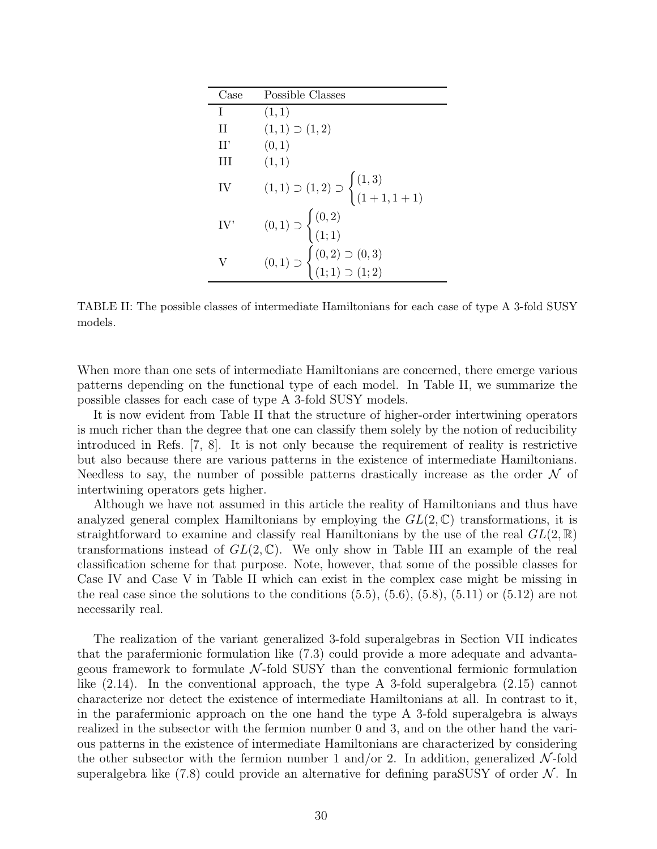| Case | Possible Classes                                                                     |
|------|--------------------------------------------------------------------------------------|
| T    | (1,1)                                                                                |
| Н    | $(1,1) \supset (1,2)$                                                                |
| H'   | (0,1)                                                                                |
| Ш    | (1,1)                                                                                |
| IV   | $(1,1) \supset (1,2) \supset \begin{cases} (1,3) \\ (1+1,1+1) \end{cases}$           |
| IV'  | $(0,1) \supset \begin{cases} (0,2) \\ (1,1) \end{cases}$                             |
|      | $(0,1) \supset \begin{cases} (0,2) \supset (0,3) \\ (1;1) \supset (1;2) \end{cases}$ |

TABLE II: The possible classes of intermediate Hamiltonians for each case of type A 3-fold SUSY models.

When more than one sets of intermediate Hamiltonians are concerned, there emerge various patterns depending on the functional type of each model. In Table II, we summarize the possible classes for each case of type A 3-fold SUSY models.

It is now evident from Table II that the structure of higher-order intertwining operators is much richer than the degree that one can classify them solely by the notion of reducibility introduced in Refs. [7, 8]. It is not only because the requirement of reality is restrictive but also because there are various patterns in the existence of intermediate Hamiltonians. Needless to say, the number of possible patterns drastically increase as the order  $\mathcal N$  of intertwining operators gets higher.

Although we have not assumed in this article the reality of Hamiltonians and thus have analyzed general complex Hamiltonians by employing the  $GL(2,\mathbb{C})$  transformations, it is straightforward to examine and classify real Hamiltonians by the use of the real  $GL(2,\mathbb{R})$ transformations instead of  $GL(2,\mathbb{C})$ . We only show in Table III an example of the real classification scheme for that purpose. Note, however, that some of the possible classes for Case IV and Case V in Table II which can exist in the complex case might be missing in the real case since the solutions to the conditions  $(5.5)$ ,  $(5.6)$ ,  $(5.8)$ ,  $(5.11)$  or  $(5.12)$  are not necessarily real.

The realization of the variant generalized 3-fold superalgebras in Section VII indicates that the parafermionic formulation like (7.3) could provide a more adequate and advantageous framework to formulate  $\mathcal{N}$ -fold SUSY than the conventional fermionic formulation like (2.14). In the conventional approach, the type A 3-fold superalgebra (2.15) cannot characterize nor detect the existence of intermediate Hamiltonians at all. In contrast to it, in the parafermionic approach on the one hand the type A 3-fold superalgebra is always realized in the subsector with the fermion number 0 and 3, and on the other hand the various patterns in the existence of intermediate Hamiltonians are characterized by considering the other subsector with the fermion number 1 and/or 2. In addition, generalized  $\mathcal{N}\text{-fold}$ superalgebra like (7.8) could provide an alternative for defining paraSUSY of order  $\mathcal{N}$ . In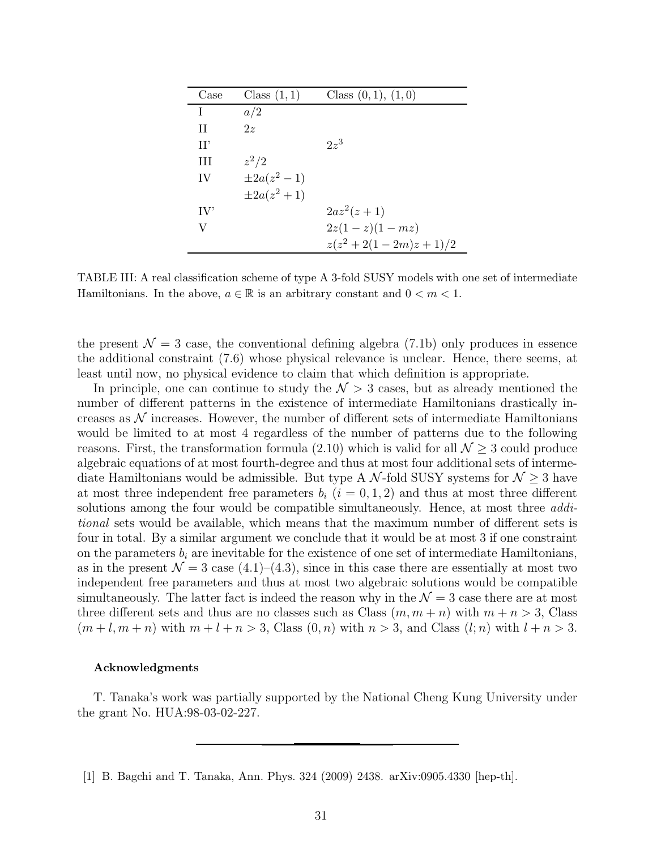| Case                      | Class $(1,1)$   | Class $(0,1)$ , $(1,0)$ |
|---------------------------|-----------------|-------------------------|
| T                         | a/2             |                         |
| H                         | 2z              |                         |
| H'                        |                 | $2z^3$                  |
| Ш                         | $z^2/2$         |                         |
| IV                        | $\pm 2a(z^2-1)$ |                         |
|                           | $\pm 2a(z^2+1)$ |                         |
| $\mathrm{IV}^{\mathrm{}}$ |                 | $2az^2(z+1)$            |
| V                         |                 | $2z(1-z)(1-mz)$         |
|                           |                 | $z(z^2+2(1-2m)z+1)/2$   |

TABLE III: A real classification scheme of type A 3-fold SUSY models with one set of intermediate Hamiltonians. In the above,  $a \in \mathbb{R}$  is an arbitrary constant and  $0 < m < 1$ .

the present  $\mathcal{N} = 3$  case, the conventional defining algebra (7.1b) only produces in essence the additional constraint (7.6) whose physical relevance is unclear. Hence, there seems, at least until now, no physical evidence to claim that which definition is appropriate.

In principle, one can continue to study the  $\mathcal{N} > 3$  cases, but as already mentioned the number of different patterns in the existence of intermediate Hamiltonians drastically increases as  $\mathcal N$  increases. However, the number of different sets of intermediate Hamiltonians would be limited to at most 4 regardless of the number of patterns due to the following reasons. First, the transformation formula  $(2.10)$  which is valid for all  $\mathcal{N} \geq 3$  could produce algebraic equations of at most fourth-degree and thus at most four additional sets of intermediate Hamiltonians would be admissible. But type A  $\mathcal{N}$ -fold SUSY systems for  $\mathcal{N} \geq 3$  have at most three independent free parameters  $b_i$   $(i = 0, 1, 2)$  and thus at most three different solutions among the four would be compatible simultaneously. Hence, at most three *addi*tional sets would be available, which means that the maximum number of different sets is four in total. By a similar argument we conclude that it would be at most 3 if one constraint on the parameters  $b_i$  are inevitable for the existence of one set of intermediate Hamiltonians, as in the present  $\mathcal{N} = 3$  case (4.1)–(4.3), since in this case there are essentially at most two independent free parameters and thus at most two algebraic solutions would be compatible simultaneously. The latter fact is indeed the reason why in the  $\mathcal{N}=3$  case there are at most three different sets and thus are no classes such as Class  $(m, m + n)$  with  $m + n > 3$ , Class  $(m+l, m+n)$  with  $m+l+n>3$ , Class  $(0, n)$  with  $n>3$ , and Class  $(l; n)$  with  $l+n>3$ .

#### Acknowledgments

T. Tanaka's work was partially supported by the National Cheng Kung University under the grant No. HUA:98-03-02-227.

[1] B. Bagchi and T. Tanaka, Ann. Phys. 324 (2009) 2438. arXiv:0905.4330 [hep-th].